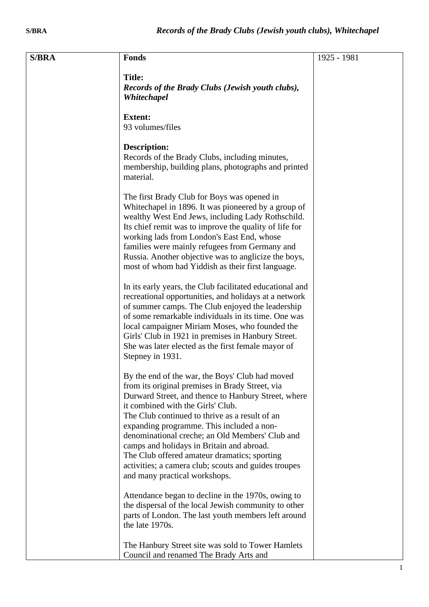| <b>S/BRA</b> | <b>Fonds</b>                                                                                                                                                                                                                                                                                                                                                                                                                                                                                                                           | 1925 - 1981 |
|--------------|----------------------------------------------------------------------------------------------------------------------------------------------------------------------------------------------------------------------------------------------------------------------------------------------------------------------------------------------------------------------------------------------------------------------------------------------------------------------------------------------------------------------------------------|-------------|
|              | <b>Title:</b><br>Records of the Brady Clubs (Jewish youth clubs),<br>Whitechapel                                                                                                                                                                                                                                                                                                                                                                                                                                                       |             |
|              | <b>Extent:</b><br>93 volumes/files                                                                                                                                                                                                                                                                                                                                                                                                                                                                                                     |             |
|              | <b>Description:</b><br>Records of the Brady Clubs, including minutes,<br>membership, building plans, photographs and printed<br>material.                                                                                                                                                                                                                                                                                                                                                                                              |             |
|              | The first Brady Club for Boys was opened in<br>Whitechapel in 1896. It was pioneered by a group of<br>wealthy West End Jews, including Lady Rothschild.<br>Its chief remit was to improve the quality of life for<br>working lads from London's East End, whose<br>families were mainly refugees from Germany and<br>Russia. Another objective was to anglicize the boys,<br>most of whom had Yiddish as their first language.                                                                                                         |             |
|              | In its early years, the Club facilitated educational and<br>recreational opportunities, and holidays at a network<br>of summer camps. The Club enjoyed the leadership<br>of some remarkable individuals in its time. One was<br>local campaigner Miriam Moses, who founded the<br>Girls' Club in 1921 in premises in Hanbury Street.<br>She was later elected as the first female mayor of<br>Stepney in 1931.                                                                                                                         |             |
|              | By the end of the war, the Boys' Club had moved<br>from its original premises in Brady Street, via<br>Durward Street, and thence to Hanbury Street, where<br>it combined with the Girls' Club.<br>The Club continued to thrive as a result of an<br>expanding programme. This included a non-<br>denominational creche; an Old Members' Club and<br>camps and holidays in Britain and abroad.<br>The Club offered amateur dramatics; sporting<br>activities; a camera club; scouts and guides troupes<br>and many practical workshops. |             |
|              | Attendance began to decline in the 1970s, owing to<br>the dispersal of the local Jewish community to other<br>parts of London. The last youth members left around<br>the late 1970s.                                                                                                                                                                                                                                                                                                                                                   |             |
|              | The Hanbury Street site was sold to Tower Hamlets<br>Council and renamed The Brady Arts and                                                                                                                                                                                                                                                                                                                                                                                                                                            |             |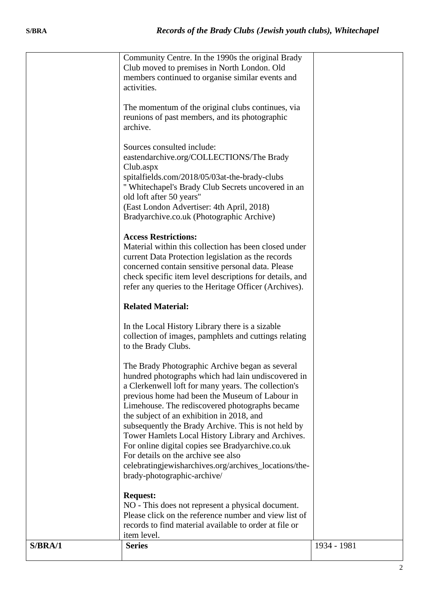| S/BRA/1 | <b>Series</b>                                                                                                                                                                                                                                                                                                                                                                                                                                                                                                                                                                                                                   | 1934 - 1981 |
|---------|---------------------------------------------------------------------------------------------------------------------------------------------------------------------------------------------------------------------------------------------------------------------------------------------------------------------------------------------------------------------------------------------------------------------------------------------------------------------------------------------------------------------------------------------------------------------------------------------------------------------------------|-------------|
|         | NO - This does not represent a physical document.<br>Please click on the reference number and view list of<br>records to find material available to order at file or<br>item level.                                                                                                                                                                                                                                                                                                                                                                                                                                             |             |
|         | The Brady Photographic Archive began as several<br>hundred photographs which had lain undiscovered in<br>a Clerkenwell loft for many years. The collection's<br>previous home had been the Museum of Labour in<br>Limehouse. The rediscovered photographs became<br>the subject of an exhibition in 2018, and<br>subsequently the Brady Archive. This is not held by<br>Tower Hamlets Local History Library and Archives.<br>For online digital copies see Bradyarchive.co.uk<br>For details on the archive see also<br>celebratingjewisharchives.org/archives_locations/the-<br>brady-photographic-archive/<br><b>Request:</b> |             |
|         | <b>Related Material:</b><br>In the Local History Library there is a sizable<br>collection of images, pamphlets and cuttings relating<br>to the Brady Clubs.                                                                                                                                                                                                                                                                                                                                                                                                                                                                     |             |
|         | <b>Access Restrictions:</b><br>Material within this collection has been closed under<br>current Data Protection legislation as the records<br>concerned contain sensitive personal data. Please<br>check specific item level descriptions for details, and<br>refer any queries to the Heritage Officer (Archives).                                                                                                                                                                                                                                                                                                             |             |
|         | Sources consulted include:<br>eastendarchive.org/COLLECTIONS/The Brady<br>Club.aspx<br>spitalfields.com/2018/05/03at-the-brady-clubs<br>" Whitechapel's Brady Club Secrets uncovered in an<br>old loft after 50 years"<br>(East London Advertiser: 4th April, 2018)<br>Bradyarchive.co.uk (Photographic Archive)                                                                                                                                                                                                                                                                                                                |             |
|         | The momentum of the original clubs continues, via<br>reunions of past members, and its photographic<br>archive.                                                                                                                                                                                                                                                                                                                                                                                                                                                                                                                 |             |
|         | Community Centre. In the 1990s the original Brady<br>Club moved to premises in North London. Old<br>members continued to organise similar events and<br>activities.                                                                                                                                                                                                                                                                                                                                                                                                                                                             |             |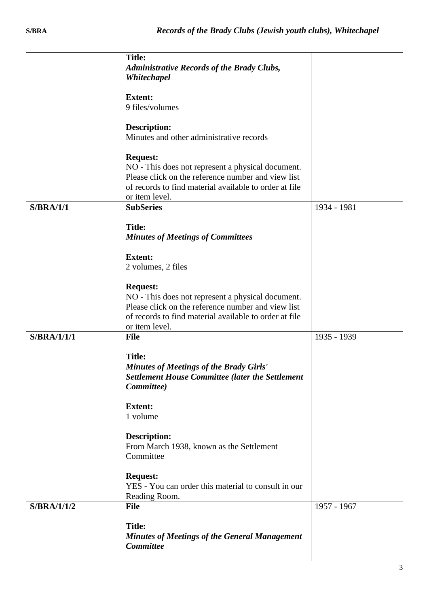|                  | <b>Title:</b><br><b>Administrative Records of the Brady Clubs,</b><br>Whitechapel                                                                                                                      |             |
|------------------|--------------------------------------------------------------------------------------------------------------------------------------------------------------------------------------------------------|-------------|
|                  | <b>Extent:</b><br>9 files/volumes                                                                                                                                                                      |             |
|                  | <b>Description:</b><br>Minutes and other administrative records                                                                                                                                        |             |
|                  | <b>Request:</b><br>NO - This does not represent a physical document.<br>Please click on the reference number and view list<br>of records to find material available to order at file<br>or item level. |             |
| <b>S/BRA/1/1</b> | <b>SubSeries</b>                                                                                                                                                                                       | 1934 - 1981 |
|                  | <b>Title:</b><br><b>Minutes of Meetings of Committees</b>                                                                                                                                              |             |
|                  | <b>Extent:</b><br>2 volumes, 2 files                                                                                                                                                                   |             |
|                  | <b>Request:</b><br>NO - This does not represent a physical document.<br>Please click on the reference number and view list<br>of records to find material available to order at file<br>or item level. |             |
| S/BRA/1/1/1      | <b>File</b>                                                                                                                                                                                            | 1935 - 1939 |
|                  | <b>Title:</b><br><b>Minutes of Meetings of the Brady Girls'</b><br><b>Settlement House Committee (later the Settlement</b><br>Committee)                                                               |             |
|                  | <b>Extent:</b><br>1 volume                                                                                                                                                                             |             |
|                  | <b>Description:</b><br>From March 1938, known as the Settlement<br>Committee                                                                                                                           |             |
|                  | <b>Request:</b><br>YES - You can order this material to consult in our<br>Reading Room.                                                                                                                |             |
| S/BRA/1/1/2      | <b>File</b>                                                                                                                                                                                            | 1957 - 1967 |
|                  | <b>Title:</b><br><b>Minutes of Meetings of the General Management</b><br><b>Committee</b>                                                                                                              |             |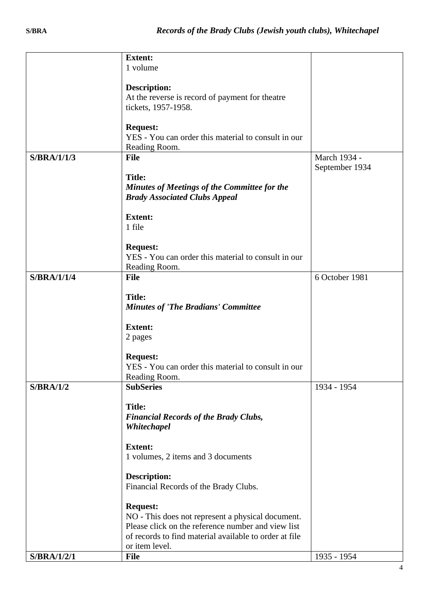|                    | <b>Extent:</b>                                         |                |
|--------------------|--------------------------------------------------------|----------------|
|                    | 1 volume                                               |                |
|                    |                                                        |                |
|                    | <b>Description:</b>                                    |                |
|                    | At the reverse is record of payment for theatre        |                |
|                    | tickets, 1957-1958.                                    |                |
|                    |                                                        |                |
|                    | <b>Request:</b>                                        |                |
|                    | YES - You can order this material to consult in our    |                |
|                    | Reading Room.                                          |                |
| <b>S/BRA/1/1/3</b> | <b>File</b>                                            | March 1934 -   |
|                    |                                                        | September 1934 |
|                    | <b>Title:</b>                                          |                |
|                    | Minutes of Meetings of the Committee for the           |                |
|                    | <b>Brady Associated Clubs Appeal</b>                   |                |
|                    |                                                        |                |
|                    | <b>Extent:</b>                                         |                |
|                    | 1 file                                                 |                |
|                    |                                                        |                |
|                    | <b>Request:</b>                                        |                |
|                    | YES - You can order this material to consult in our    |                |
|                    | Reading Room.                                          |                |
| <b>S/BRA/1/1/4</b> | <b>File</b>                                            | 6 October 1981 |
|                    |                                                        |                |
|                    | <b>Title:</b>                                          |                |
|                    | <b>Minutes of 'The Bradians' Committee</b>             |                |
|                    |                                                        |                |
|                    | <b>Extent:</b>                                         |                |
|                    | 2 pages                                                |                |
|                    |                                                        |                |
|                    | <b>Request:</b>                                        |                |
|                    | YES - You can order this material to consult in our    |                |
|                    | Reading Room.                                          |                |
| S/BRA/1/2          | <b>SubSeries</b>                                       | 1934 - 1954    |
|                    |                                                        |                |
|                    | <b>Title:</b>                                          |                |
|                    | <b>Financial Records of the Brady Clubs,</b>           |                |
|                    | Whitechapel                                            |                |
|                    |                                                        |                |
|                    | <b>Extent:</b>                                         |                |
|                    | 1 volumes, 2 items and 3 documents                     |                |
|                    |                                                        |                |
|                    | <b>Description:</b>                                    |                |
|                    | Financial Records of the Brady Clubs.                  |                |
|                    |                                                        |                |
|                    | <b>Request:</b>                                        |                |
|                    | NO - This does not represent a physical document.      |                |
|                    | Please click on the reference number and view list     |                |
|                    | of records to find material available to order at file |                |
|                    | or item level.                                         |                |
|                    |                                                        |                |
| S/BRA/1/2/1        | <b>File</b>                                            | 1935 - 1954    |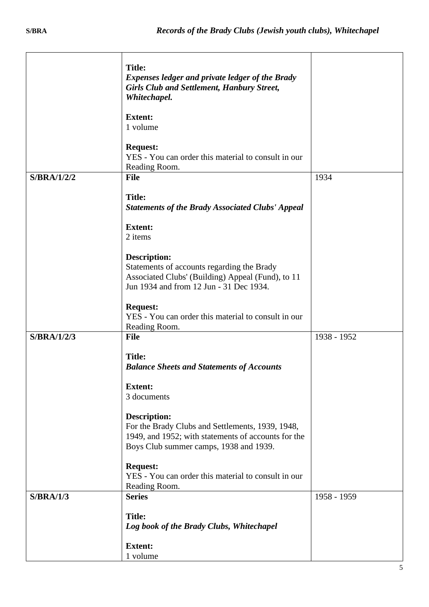|             | <b>Title:</b><br><b>Expenses ledger and private ledger of the Brady</b><br><b>Girls Club and Settlement, Hanbury Street,</b><br>Whitechapel.                             |             |
|-------------|--------------------------------------------------------------------------------------------------------------------------------------------------------------------------|-------------|
|             | <b>Extent:</b><br>1 volume                                                                                                                                               |             |
|             | <b>Request:</b><br>YES - You can order this material to consult in our<br>Reading Room.                                                                                  |             |
| S/BRA/1/2/2 | <b>File</b>                                                                                                                                                              | 1934        |
|             | <b>Title:</b><br><b>Statements of the Brady Associated Clubs' Appeal</b>                                                                                                 |             |
|             | <b>Extent:</b><br>2 items                                                                                                                                                |             |
|             | <b>Description:</b><br>Statements of accounts regarding the Brady<br>Associated Clubs' (Building) Appeal (Fund), to 11<br>Jun 1934 and from 12 Jun - 31 Dec 1934.        |             |
|             | <b>Request:</b><br>YES - You can order this material to consult in our<br>Reading Room.                                                                                  |             |
| S/BRA/1/2/3 | <b>File</b>                                                                                                                                                              | 1938 - 1952 |
|             | <b>Title:</b><br><b>Balance Sheets and Statements of Accounts</b>                                                                                                        |             |
|             | <b>Extent:</b><br>3 documents                                                                                                                                            |             |
|             | <b>Description:</b><br>For the Brady Clubs and Settlements, 1939, 1948,<br>1949, and 1952; with statements of accounts for the<br>Boys Club summer camps, 1938 and 1939. |             |
|             | <b>Request:</b><br>YES - You can order this material to consult in our<br>Reading Room.                                                                                  |             |
| S/BRA/1/3   | <b>Series</b>                                                                                                                                                            | 1958 - 1959 |
|             | <b>Title:</b><br>Log book of the Brady Clubs, Whitechapel                                                                                                                |             |
|             | <b>Extent:</b><br>1 volume                                                                                                                                               |             |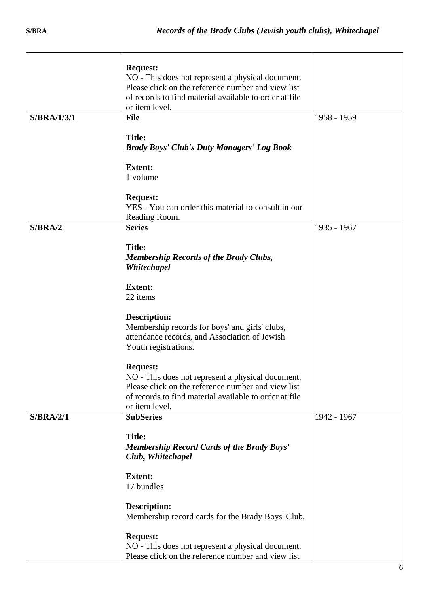|                    | <b>Request:</b>                                        |             |
|--------------------|--------------------------------------------------------|-------------|
|                    | NO - This does not represent a physical document.      |             |
|                    | Please click on the reference number and view list     |             |
|                    | of records to find material available to order at file |             |
|                    | or item level.                                         |             |
| <b>S/BRA/1/3/1</b> | <b>File</b>                                            | 1958 - 1959 |
|                    | <b>Title:</b>                                          |             |
|                    | <b>Brady Boys' Club's Duty Managers' Log Book</b>      |             |
|                    | <b>Extent:</b>                                         |             |
|                    | 1 volume                                               |             |
|                    | <b>Request:</b>                                        |             |
|                    | YES - You can order this material to consult in our    |             |
|                    | Reading Room.                                          |             |
| S/BRA/2            | <b>Series</b>                                          | 1935 - 1967 |
|                    | <b>Title:</b>                                          |             |
|                    | <b>Membership Records of the Brady Clubs,</b>          |             |
|                    | Whitechapel                                            |             |
|                    |                                                        |             |
|                    | <b>Extent:</b>                                         |             |
|                    | 22 items                                               |             |
|                    | <b>Description:</b>                                    |             |
|                    | Membership records for boys' and girls' clubs,         |             |
|                    | attendance records, and Association of Jewish          |             |
|                    | Youth registrations.                                   |             |
|                    | <b>Request:</b>                                        |             |
|                    | NO - This does not represent a physical document.      |             |
|                    | Please click on the reference number and view list     |             |
|                    | of records to find material available to order at file |             |
|                    | or item level.                                         |             |
| S/BRA/2/1          | <b>SubSeries</b>                                       | 1942 - 1967 |
|                    | <b>Title:</b>                                          |             |
|                    | <b>Membership Record Cards of the Brady Boys'</b>      |             |
|                    | Club, Whitechapel                                      |             |
|                    | <b>Extent:</b>                                         |             |
|                    | 17 bundles                                             |             |
|                    |                                                        |             |
|                    | <b>Description:</b>                                    |             |
|                    | Membership record cards for the Brady Boys' Club.      |             |
|                    | <b>Request:</b>                                        |             |
|                    | NO - This does not represent a physical document.      |             |
|                    | Please click on the reference number and view list     |             |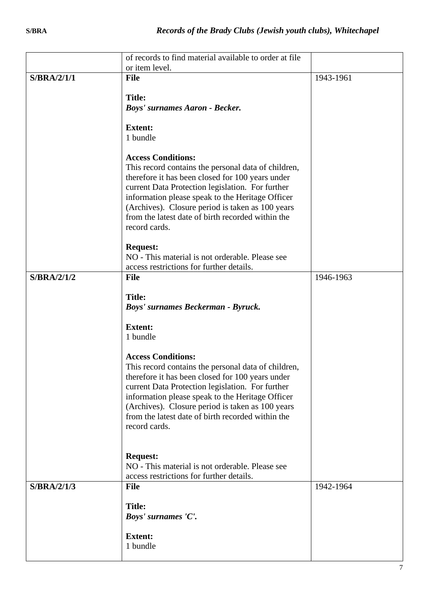|             | of records to find material available to order at file                                                  |           |
|-------------|---------------------------------------------------------------------------------------------------------|-----------|
| S/BRA/2/1/1 | or item level.<br><b>File</b>                                                                           | 1943-1961 |
|             |                                                                                                         |           |
|             | <b>Title:</b>                                                                                           |           |
|             | <b>Boys' surnames Aaron - Becker.</b>                                                                   |           |
|             | <b>Extent:</b>                                                                                          |           |
|             | 1 bundle                                                                                                |           |
|             |                                                                                                         |           |
|             | <b>Access Conditions:</b>                                                                               |           |
|             | This record contains the personal data of children,                                                     |           |
|             | therefore it has been closed for 100 years under<br>current Data Protection legislation. For further    |           |
|             | information please speak to the Heritage Officer                                                        |           |
|             | (Archives). Closure period is taken as 100 years                                                        |           |
|             | from the latest date of birth recorded within the<br>record cards.                                      |           |
|             |                                                                                                         |           |
|             | <b>Request:</b>                                                                                         |           |
|             | NO - This material is not orderable. Please see                                                         |           |
| S/BRA/2/1/2 | access restrictions for further details.<br><b>File</b>                                                 | 1946-1963 |
|             |                                                                                                         |           |
|             | <b>Title:</b>                                                                                           |           |
|             | Boys' surnames Beckerman - Byruck.                                                                      |           |
|             | <b>Extent:</b>                                                                                          |           |
|             | 1 bundle                                                                                                |           |
|             |                                                                                                         |           |
|             | <b>Access Conditions:</b>                                                                               |           |
|             | This record contains the personal data of children,<br>therefore it has been closed for 100 years under |           |
|             | current Data Protection legislation. For further                                                        |           |
|             | information please speak to the Heritage Officer                                                        |           |
|             | (Archives). Closure period is taken as 100 years                                                        |           |
|             | from the latest date of birth recorded within the<br>record cards.                                      |           |
|             |                                                                                                         |           |
|             |                                                                                                         |           |
|             | <b>Request:</b><br>NO - This material is not orderable. Please see                                      |           |
|             | access restrictions for further details.                                                                |           |
| S/BRA/2/1/3 | <b>File</b>                                                                                             | 1942-1964 |
|             |                                                                                                         |           |
|             | <b>Title:</b><br>Boys' surnames 'C'.                                                                    |           |
|             |                                                                                                         |           |
|             | <b>Extent:</b>                                                                                          |           |
|             | 1 bundle                                                                                                |           |
|             |                                                                                                         |           |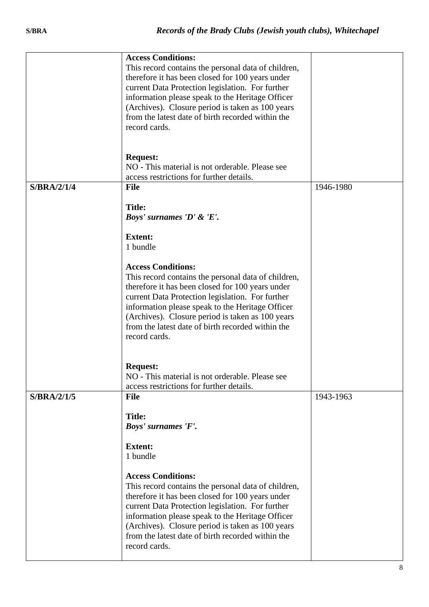|                    | <b>Access Conditions:</b><br>This record contains the personal data of children,<br>therefore it has been closed for 100 years under<br>current Data Protection legislation. For further<br>information please speak to the Heritage Officer<br>(Archives). Closure period is taken as 100 years<br>from the latest date of birth recorded within the<br>record cards.                                                                                                                                                                  |           |
|--------------------|-----------------------------------------------------------------------------------------------------------------------------------------------------------------------------------------------------------------------------------------------------------------------------------------------------------------------------------------------------------------------------------------------------------------------------------------------------------------------------------------------------------------------------------------|-----------|
|                    | <b>Request:</b><br>NO - This material is not orderable. Please see<br>access restrictions for further details.                                                                                                                                                                                                                                                                                                                                                                                                                          |           |
| <b>S/BRA/2/1/4</b> | <b>File</b><br><b>Title:</b><br>Boys' surnames 'D' & 'E'.<br><b>Extent:</b><br>1 bundle<br><b>Access Conditions:</b><br>This record contains the personal data of children,<br>therefore it has been closed for 100 years under<br>current Data Protection legislation. For further<br>information please speak to the Heritage Officer<br>(Archives). Closure period is taken as 100 years<br>from the latest date of birth recorded within the<br>record cards.<br><b>Request:</b><br>NO - This material is not orderable. Please see | 1946-1980 |
| S/BRA/2/1/5        | access restrictions for further details.<br><b>File</b><br><b>Title:</b><br>Boys' surnames 'F'.<br><b>Extent:</b><br>1 bundle<br><b>Access Conditions:</b><br>This record contains the personal data of children,<br>therefore it has been closed for 100 years under<br>current Data Protection legislation. For further<br>information please speak to the Heritage Officer<br>(Archives). Closure period is taken as 100 years<br>from the latest date of birth recorded within the<br>record cards.                                 | 1943-1963 |
|                    |                                                                                                                                                                                                                                                                                                                                                                                                                                                                                                                                         |           |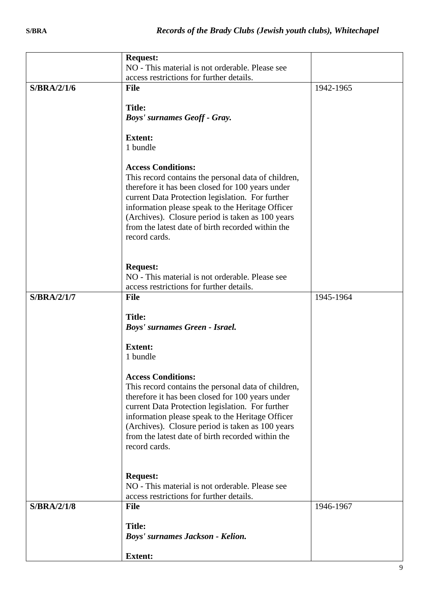|                    | <b>Request:</b><br>NO - This material is not orderable. Please see                                                                                                                                                                                                                                                                                                     |           |
|--------------------|------------------------------------------------------------------------------------------------------------------------------------------------------------------------------------------------------------------------------------------------------------------------------------------------------------------------------------------------------------------------|-----------|
|                    | access restrictions for further details.                                                                                                                                                                                                                                                                                                                               |           |
| S/BRA/2/1/6        | <b>File</b>                                                                                                                                                                                                                                                                                                                                                            | 1942-1965 |
|                    | <b>Title:</b>                                                                                                                                                                                                                                                                                                                                                          |           |
|                    | <b>Boys' surnames Geoff - Gray.</b>                                                                                                                                                                                                                                                                                                                                    |           |
|                    | <b>Extent:</b><br>1 bundle                                                                                                                                                                                                                                                                                                                                             |           |
|                    | <b>Access Conditions:</b><br>This record contains the personal data of children,<br>therefore it has been closed for 100 years under<br>current Data Protection legislation. For further<br>information please speak to the Heritage Officer<br>(Archives). Closure period is taken as 100 years<br>from the latest date of birth recorded within the<br>record cards. |           |
|                    | <b>Request:</b><br>NO - This material is not orderable. Please see<br>access restrictions for further details.                                                                                                                                                                                                                                                         |           |
| <b>S/BRA/2/1/7</b> | <b>File</b>                                                                                                                                                                                                                                                                                                                                                            | 1945-1964 |
|                    | <b>Title:</b><br>Boys' surnames Green - Israel.                                                                                                                                                                                                                                                                                                                        |           |
|                    | <b>Extent:</b><br>1 bundle                                                                                                                                                                                                                                                                                                                                             |           |
|                    | <b>Access Conditions:</b><br>This record contains the personal data of children,<br>therefore it has been closed for 100 years under<br>current Data Protection legislation. For further<br>information please speak to the Heritage Officer<br>(Archives). Closure period is taken as 100 years<br>from the latest date of birth recorded within the<br>record cards. |           |
|                    | <b>Request:</b><br>NO - This material is not orderable. Please see<br>access restrictions for further details.                                                                                                                                                                                                                                                         |           |
| <b>S/BRA/2/1/8</b> | <b>File</b>                                                                                                                                                                                                                                                                                                                                                            | 1946-1967 |
|                    | <b>Title:</b>                                                                                                                                                                                                                                                                                                                                                          |           |
|                    | Boys' surnames Jackson - Kelion.                                                                                                                                                                                                                                                                                                                                       |           |
|                    | <b>Extent:</b>                                                                                                                                                                                                                                                                                                                                                         |           |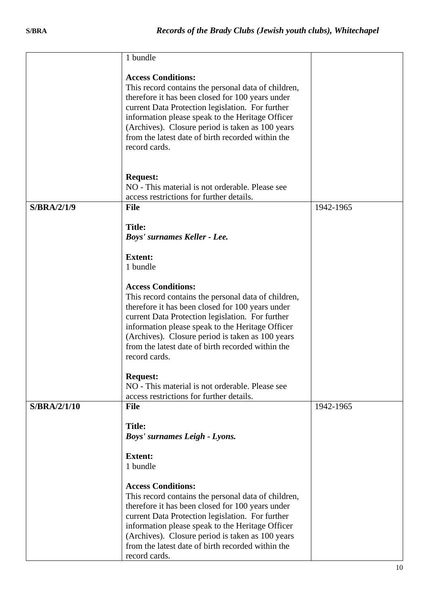|              | 1 bundle                                                                                             |           |
|--------------|------------------------------------------------------------------------------------------------------|-----------|
|              | <b>Access Conditions:</b>                                                                            |           |
|              | This record contains the personal data of children,                                                  |           |
|              | therefore it has been closed for 100 years under                                                     |           |
|              | current Data Protection legislation. For further                                                     |           |
|              | information please speak to the Heritage Officer                                                     |           |
|              | (Archives). Closure period is taken as 100 years                                                     |           |
|              | from the latest date of birth recorded within the                                                    |           |
|              | record cards.                                                                                        |           |
|              |                                                                                                      |           |
|              | <b>Request:</b>                                                                                      |           |
|              | NO - This material is not orderable. Please see                                                      |           |
|              | access restrictions for further details.                                                             |           |
| S/BRA/2/1/9  | <b>File</b>                                                                                          | 1942-1965 |
|              |                                                                                                      |           |
|              | <b>Title:</b>                                                                                        |           |
|              | Boys' surnames Keller - Lee.                                                                         |           |
|              | <b>Extent:</b>                                                                                       |           |
|              | 1 bundle                                                                                             |           |
|              |                                                                                                      |           |
|              | <b>Access Conditions:</b>                                                                            |           |
|              | This record contains the personal data of children,                                                  |           |
|              | therefore it has been closed for 100 years under                                                     |           |
|              | current Data Protection legislation. For further                                                     |           |
|              | information please speak to the Heritage Officer<br>(Archives). Closure period is taken as 100 years |           |
|              | from the latest date of birth recorded within the                                                    |           |
|              | record cards.                                                                                        |           |
|              |                                                                                                      |           |
|              | <b>Request:</b>                                                                                      |           |
|              | NO - This material is not orderable. Please see                                                      |           |
|              | access restrictions for further details.                                                             |           |
| S/BRA/2/1/10 | <b>File</b>                                                                                          | 1942-1965 |
|              | <b>Title:</b>                                                                                        |           |
|              | <b>Boys' surnames Leigh - Lyons.</b>                                                                 |           |
|              |                                                                                                      |           |
|              | <b>Extent:</b>                                                                                       |           |
|              | 1 bundle                                                                                             |           |
|              | <b>Access Conditions:</b>                                                                            |           |
|              | This record contains the personal data of children,                                                  |           |
|              | therefore it has been closed for 100 years under                                                     |           |
|              | current Data Protection legislation. For further                                                     |           |
|              | information please speak to the Heritage Officer                                                     |           |
|              | (Archives). Closure period is taken as 100 years                                                     |           |
|              | from the latest date of birth recorded within the                                                    |           |
|              | record cards.                                                                                        |           |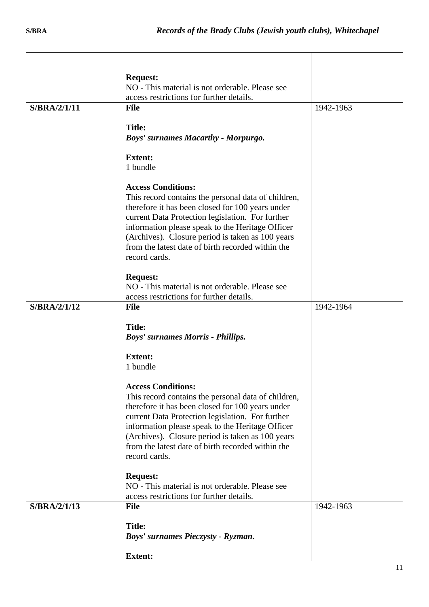|              | <b>Request:</b>                                                                                         |           |
|--------------|---------------------------------------------------------------------------------------------------------|-----------|
|              | NO - This material is not orderable. Please see                                                         |           |
|              | access restrictions for further details.                                                                |           |
| S/BRA/2/1/11 | <b>File</b>                                                                                             | 1942-1963 |
|              | <b>Title:</b>                                                                                           |           |
|              | <b>Boys' surnames Macarthy - Morpurgo.</b>                                                              |           |
|              |                                                                                                         |           |
|              | <b>Extent:</b>                                                                                          |           |
|              | 1 bundle                                                                                                |           |
|              | <b>Access Conditions:</b>                                                                               |           |
|              | This record contains the personal data of children,                                                     |           |
|              | therefore it has been closed for 100 years under                                                        |           |
|              | current Data Protection legislation. For further                                                        |           |
|              | information please speak to the Heritage Officer                                                        |           |
|              | (Archives). Closure period is taken as 100 years<br>from the latest date of birth recorded within the   |           |
|              | record cards.                                                                                           |           |
|              |                                                                                                         |           |
|              | <b>Request:</b>                                                                                         |           |
|              | NO - This material is not orderable. Please see                                                         |           |
| S/BRA/2/1/12 | access restrictions for further details.<br><b>File</b>                                                 | 1942-1964 |
|              |                                                                                                         |           |
|              | <b>Title:</b>                                                                                           |           |
|              | <b>Boys' surnames Morris - Phillips.</b>                                                                |           |
|              | <b>Extent:</b>                                                                                          |           |
|              | 1 bundle                                                                                                |           |
|              |                                                                                                         |           |
|              | <b>Access Conditions:</b>                                                                               |           |
|              | This record contains the personal data of children,<br>therefore it has been closed for 100 years under |           |
|              | current Data Protection legislation. For further                                                        |           |
|              | information please speak to the Heritage Officer                                                        |           |
|              | (Archives). Closure period is taken as 100 years                                                        |           |
|              | from the latest date of birth recorded within the                                                       |           |
|              | record cards.                                                                                           |           |
|              | <b>Request:</b>                                                                                         |           |
|              | NO - This material is not orderable. Please see                                                         |           |
|              | access restrictions for further details.                                                                |           |
| S/BRA/2/1/13 | <b>File</b>                                                                                             | 1942-1963 |
|              | <b>Title:</b>                                                                                           |           |
|              | Boys' surnames Pieczysty - Ryzman.                                                                      |           |
|              |                                                                                                         |           |
|              | <b>Extent:</b>                                                                                          |           |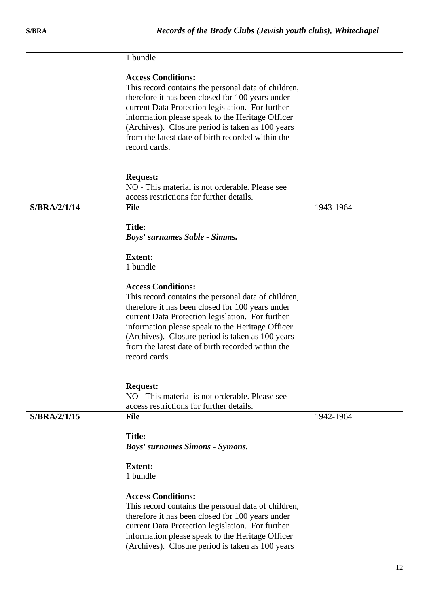|                           | 1 bundle                                                                                                                                                                                                                                                                                                                                                               |           |
|---------------------------|------------------------------------------------------------------------------------------------------------------------------------------------------------------------------------------------------------------------------------------------------------------------------------------------------------------------------------------------------------------------|-----------|
|                           | <b>Access Conditions:</b><br>This record contains the personal data of children,<br>therefore it has been closed for 100 years under<br>current Data Protection legislation. For further<br>information please speak to the Heritage Officer<br>(Archives). Closure period is taken as 100 years<br>from the latest date of birth recorded within the<br>record cards. |           |
|                           | <b>Request:</b><br>NO - This material is not orderable. Please see<br>access restrictions for further details.                                                                                                                                                                                                                                                         |           |
| $S/BRA/2/1/\overline{14}$ | <b>File</b>                                                                                                                                                                                                                                                                                                                                                            | 1943-1964 |
|                           | <b>Title:</b><br>Boys' surnames Sable - Simms.                                                                                                                                                                                                                                                                                                                         |           |
|                           | <b>Extent:</b><br>1 bundle                                                                                                                                                                                                                                                                                                                                             |           |
|                           | <b>Access Conditions:</b><br>This record contains the personal data of children,<br>therefore it has been closed for 100 years under<br>current Data Protection legislation. For further<br>information please speak to the Heritage Officer<br>(Archives). Closure period is taken as 100 years<br>from the latest date of birth recorded within the<br>record cards. |           |
|                           | <b>Request:</b><br>NO - This material is not orderable. Please see<br>access restrictions for further details.                                                                                                                                                                                                                                                         |           |
| S/BRA/2/1/15              | <b>File</b>                                                                                                                                                                                                                                                                                                                                                            | 1942-1964 |
|                           | <b>Title:</b><br><b>Boys' surnames Simons - Symons.</b>                                                                                                                                                                                                                                                                                                                |           |
|                           | <b>Extent:</b><br>1 bundle                                                                                                                                                                                                                                                                                                                                             |           |
|                           | <b>Access Conditions:</b><br>This record contains the personal data of children,<br>therefore it has been closed for 100 years under<br>current Data Protection legislation. For further<br>information please speak to the Heritage Officer<br>(Archives). Closure period is taken as 100 years                                                                       |           |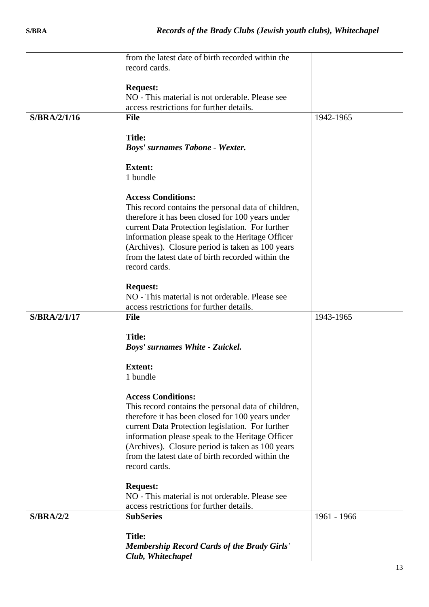|              | from the latest date of birth recorded within the   |             |
|--------------|-----------------------------------------------------|-------------|
|              | record cards.                                       |             |
|              |                                                     |             |
|              | <b>Request:</b>                                     |             |
|              | NO - This material is not orderable. Please see     |             |
|              | access restrictions for further details.            |             |
| S/BRA/2/1/16 | <b>File</b>                                         | 1942-1965   |
|              |                                                     |             |
|              | <b>Title:</b>                                       |             |
|              | <b>Boys' surnames Tabone - Wexter.</b>              |             |
|              | <b>Extent:</b>                                      |             |
|              | 1 bundle                                            |             |
|              |                                                     |             |
|              | <b>Access Conditions:</b>                           |             |
|              | This record contains the personal data of children, |             |
|              | therefore it has been closed for 100 years under    |             |
|              | current Data Protection legislation. For further    |             |
|              | information please speak to the Heritage Officer    |             |
|              | (Archives). Closure period is taken as 100 years    |             |
|              | from the latest date of birth recorded within the   |             |
|              | record cards.                                       |             |
|              |                                                     |             |
|              | <b>Request:</b>                                     |             |
|              | NO - This material is not orderable. Please see     |             |
|              | access restrictions for further details.            |             |
| S/BRA/2/1/17 | <b>File</b>                                         | 1943-1965   |
|              | <b>Title:</b>                                       |             |
|              | Boys' surnames White - Zuickel.                     |             |
|              |                                                     |             |
|              | <b>Extent:</b>                                      |             |
|              | 1 bundle                                            |             |
|              |                                                     |             |
|              | <b>Access Conditions:</b>                           |             |
|              | This record contains the personal data of children, |             |
|              | therefore it has been closed for 100 years under    |             |
|              | current Data Protection legislation. For further    |             |
|              | information please speak to the Heritage Officer    |             |
|              | (Archives). Closure period is taken as 100 years    |             |
|              | from the latest date of birth recorded within the   |             |
|              | record cards.                                       |             |
|              |                                                     |             |
|              | <b>Request:</b>                                     |             |
|              | NO - This material is not orderable. Please see     |             |
|              | access restrictions for further details.            |             |
| S/BRA/2/2    | <b>SubSeries</b>                                    | 1961 - 1966 |
|              | <b>Title:</b>                                       |             |
|              | <b>Membership Record Cards of the Brady Girls'</b>  |             |
|              | Club, Whitechapel                                   |             |
|              |                                                     |             |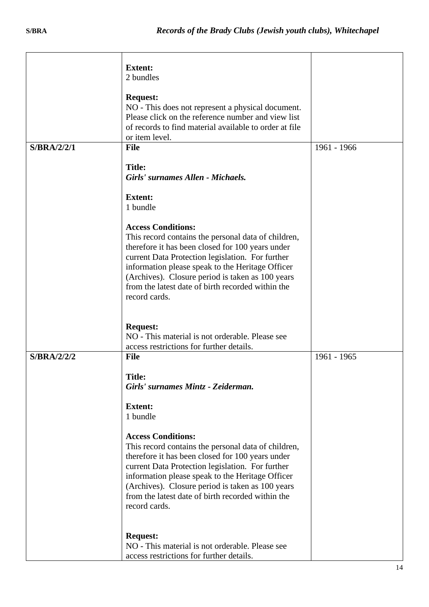|                    | <b>Extent:</b><br>2 bundles                                                                                                                                                                                                                                                                                                                                            |             |
|--------------------|------------------------------------------------------------------------------------------------------------------------------------------------------------------------------------------------------------------------------------------------------------------------------------------------------------------------------------------------------------------------|-------------|
|                    | <b>Request:</b><br>NO - This does not represent a physical document.<br>Please click on the reference number and view list<br>of records to find material available to order at file<br>or item level.                                                                                                                                                                 |             |
| S/BRA/2/2/1        | <b>File</b>                                                                                                                                                                                                                                                                                                                                                            | 1961 - 1966 |
|                    | <b>Title:</b><br>Girls' surnames Allen - Michaels.<br><b>Extent:</b>                                                                                                                                                                                                                                                                                                   |             |
|                    | 1 bundle                                                                                                                                                                                                                                                                                                                                                               |             |
|                    | <b>Access Conditions:</b><br>This record contains the personal data of children,<br>therefore it has been closed for 100 years under<br>current Data Protection legislation. For further<br>information please speak to the Heritage Officer<br>(Archives). Closure period is taken as 100 years<br>from the latest date of birth recorded within the<br>record cards. |             |
|                    | <b>Request:</b><br>NO - This material is not orderable. Please see                                                                                                                                                                                                                                                                                                     |             |
| <b>S/BRA/2/2/2</b> | access restrictions for further details.<br><b>File</b>                                                                                                                                                                                                                                                                                                                | 1961 - 1965 |
|                    | <b>Title:</b><br>Girls' surnames Mintz - Zeiderman.<br><b>Extent:</b><br>1 bundle                                                                                                                                                                                                                                                                                      |             |
|                    | <b>Access Conditions:</b><br>This record contains the personal data of children,<br>therefore it has been closed for 100 years under<br>current Data Protection legislation. For further<br>information please speak to the Heritage Officer<br>(Archives). Closure period is taken as 100 years<br>from the latest date of birth recorded within the<br>record cards. |             |
|                    | <b>Request:</b><br>NO - This material is not orderable. Please see<br>access restrictions for further details.                                                                                                                                                                                                                                                         |             |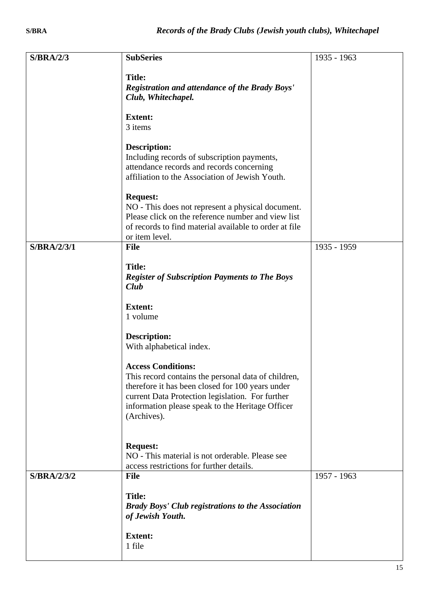| S/BRA/2/3   | <b>SubSeries</b>                                                   | 1935 - 1963 |
|-------------|--------------------------------------------------------------------|-------------|
|             |                                                                    |             |
|             | <b>Title:</b>                                                      |             |
|             | <b>Registration and attendance of the Brady Boys'</b>              |             |
|             | Club, Whitechapel.                                                 |             |
|             | <b>Extent:</b>                                                     |             |
|             | 3 items                                                            |             |
|             | <b>Description:</b><br>Including records of subscription payments, |             |
|             | attendance records and records concerning                          |             |
|             | affiliation to the Association of Jewish Youth.                    |             |
|             | <b>Request:</b>                                                    |             |
|             | NO - This does not represent a physical document.                  |             |
|             | Please click on the reference number and view list                 |             |
|             | of records to find material available to order at file             |             |
|             | or item level.                                                     |             |
| S/BRA/2/3/1 | <b>File</b>                                                        | 1935 - 1959 |
|             | <b>Title:</b>                                                      |             |
|             | <b>Register of Subscription Payments to The Boys</b>               |             |
|             | Club                                                               |             |
|             |                                                                    |             |
|             | <b>Extent:</b>                                                     |             |
|             | 1 volume                                                           |             |
|             |                                                                    |             |
|             | <b>Description:</b>                                                |             |
|             | With alphabetical index.                                           |             |
|             | <b>Access Conditions:</b>                                          |             |
|             | This record contains the personal data of children,                |             |
|             | therefore it has been closed for 100 years under                   |             |
|             | current Data Protection legislation. For further                   |             |
|             | information please speak to the Heritage Officer                   |             |
|             | (Archives).                                                        |             |
|             |                                                                    |             |
|             | <b>Request:</b>                                                    |             |
|             | NO - This material is not orderable. Please see                    |             |
|             | access restrictions for further details.                           |             |
| S/BRA/2/3/2 | <b>File</b>                                                        | 1957 - 1963 |
|             |                                                                    |             |
|             | <b>Title:</b>                                                      |             |
|             | <b>Brady Boys' Club registrations to the Association</b>           |             |
|             | of Jewish Youth.                                                   |             |
|             | <b>Extent:</b>                                                     |             |
|             | 1 file                                                             |             |
|             |                                                                    |             |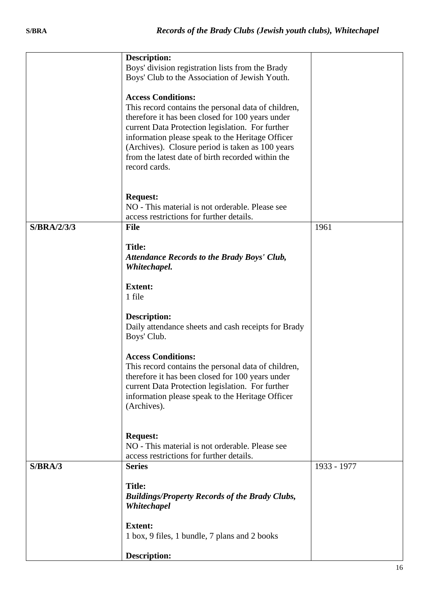|             | <b>Description:</b><br>Boys' division registration lists from the Brady<br>Boys' Club to the Association of Jewish Youth.                                                                                                                                                                                                                                              |             |
|-------------|------------------------------------------------------------------------------------------------------------------------------------------------------------------------------------------------------------------------------------------------------------------------------------------------------------------------------------------------------------------------|-------------|
|             | <b>Access Conditions:</b><br>This record contains the personal data of children,<br>therefore it has been closed for 100 years under<br>current Data Protection legislation. For further<br>information please speak to the Heritage Officer<br>(Archives). Closure period is taken as 100 years<br>from the latest date of birth recorded within the<br>record cards. |             |
|             | <b>Request:</b><br>NO - This material is not orderable. Please see<br>access restrictions for further details.                                                                                                                                                                                                                                                         |             |
| S/BRA/2/3/3 | <b>File</b>                                                                                                                                                                                                                                                                                                                                                            | 1961        |
|             | <b>Title:</b><br><b>Attendance Records to the Brady Boys' Club,</b><br>Whitechapel.                                                                                                                                                                                                                                                                                    |             |
|             | <b>Extent:</b><br>1 file                                                                                                                                                                                                                                                                                                                                               |             |
|             | Description:<br>Daily attendance sheets and cash receipts for Brady<br>Boys' Club.                                                                                                                                                                                                                                                                                     |             |
|             | <b>Access Conditions:</b><br>This record contains the personal data of children,<br>therefore it has been closed for 100 years under<br>current Data Protection legislation. For further<br>information please speak to the Heritage Officer<br>(Archives).                                                                                                            |             |
|             | <b>Request:</b><br>NO - This material is not orderable. Please see<br>access restrictions for further details.                                                                                                                                                                                                                                                         |             |
| S/BRA/3     | <b>Series</b>                                                                                                                                                                                                                                                                                                                                                          | 1933 - 1977 |
|             | <b>Title:</b><br><b>Buildings/Property Records of the Brady Clubs,</b><br>Whitechapel                                                                                                                                                                                                                                                                                  |             |
|             | <b>Extent:</b><br>1 box, 9 files, 1 bundle, 7 plans and 2 books                                                                                                                                                                                                                                                                                                        |             |
|             | <b>Description:</b>                                                                                                                                                                                                                                                                                                                                                    |             |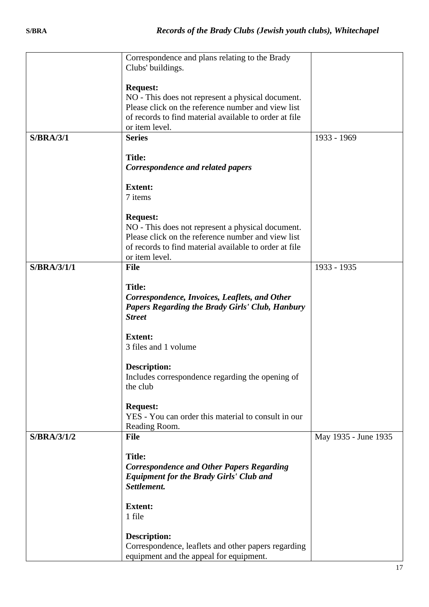|                    | Correspondence and plans relating to the Brady         |                      |
|--------------------|--------------------------------------------------------|----------------------|
|                    | Clubs' buildings.                                      |                      |
|                    |                                                        |                      |
|                    | <b>Request:</b>                                        |                      |
|                    | NO - This does not represent a physical document.      |                      |
|                    | Please click on the reference number and view list     |                      |
|                    |                                                        |                      |
|                    | of records to find material available to order at file |                      |
|                    | or item level.                                         |                      |
| S/BRA/3/1          | <b>Series</b>                                          | 1933 - 1969          |
|                    |                                                        |                      |
|                    | <b>Title:</b>                                          |                      |
|                    | Correspondence and related papers                      |                      |
|                    |                                                        |                      |
|                    |                                                        |                      |
|                    | <b>Extent:</b>                                         |                      |
|                    | 7 items                                                |                      |
|                    |                                                        |                      |
|                    | <b>Request:</b>                                        |                      |
|                    | NO - This does not represent a physical document.      |                      |
|                    | Please click on the reference number and view list     |                      |
|                    | of records to find material available to order at file |                      |
|                    | or item level.                                         |                      |
|                    |                                                        |                      |
| <b>S/BRA/3/1/1</b> | <b>File</b>                                            | 1933 - 1935          |
|                    |                                                        |                      |
|                    | <b>Title:</b>                                          |                      |
|                    | Correspondence, Invoices, Leaflets, and Other          |                      |
|                    | <b>Papers Regarding the Brady Girls' Club, Hanbury</b> |                      |
|                    | <b>Street</b>                                          |                      |
|                    |                                                        |                      |
|                    | <b>Extent:</b>                                         |                      |
|                    |                                                        |                      |
|                    | 3 files and 1 volume                                   |                      |
|                    |                                                        |                      |
|                    | Description:                                           |                      |
|                    | Includes correspondence regarding the opening of       |                      |
|                    | the club                                               |                      |
|                    |                                                        |                      |
|                    | <b>Request:</b>                                        |                      |
|                    | YES - You can order this material to consult in our    |                      |
|                    |                                                        |                      |
|                    | Reading Room.                                          |                      |
| S/BRA/3/1/2        | <b>File</b>                                            | May 1935 - June 1935 |
|                    |                                                        |                      |
|                    | <b>Title:</b>                                          |                      |
|                    | <b>Correspondence and Other Papers Regarding</b>       |                      |
|                    | <b>Equipment for the Brady Girls' Club and</b>         |                      |
|                    | Settlement.                                            |                      |
|                    |                                                        |                      |
|                    |                                                        |                      |
|                    | <b>Extent:</b>                                         |                      |
|                    | 1 file                                                 |                      |
|                    |                                                        |                      |
|                    | <b>Description:</b>                                    |                      |
|                    | Correspondence, leaflets and other papers regarding    |                      |
|                    | equipment and the appeal for equipment.                |                      |
|                    |                                                        |                      |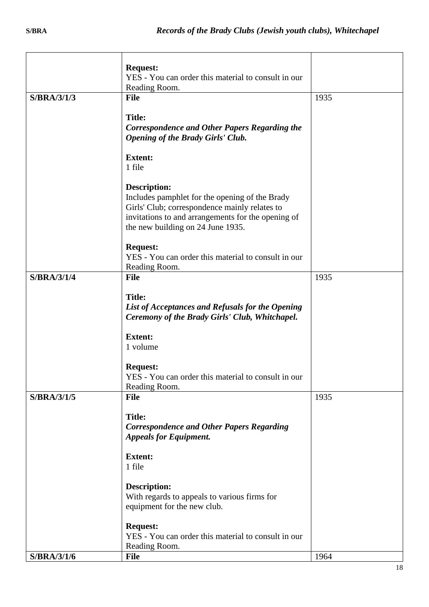|                    | <b>Request:</b>                                     |      |
|--------------------|-----------------------------------------------------|------|
|                    | YES - You can order this material to consult in our |      |
|                    | Reading Room.                                       |      |
| S/BRA/3/1/3        | <b>File</b>                                         | 1935 |
|                    |                                                     |      |
|                    | <b>Title:</b>                                       |      |
|                    | Correspondence and Other Papers Regarding the       |      |
|                    | <b>Opening of the Brady Girls' Club.</b>            |      |
|                    |                                                     |      |
|                    | <b>Extent:</b>                                      |      |
|                    | 1 file                                              |      |
|                    |                                                     |      |
|                    | Description:                                        |      |
|                    |                                                     |      |
|                    | Includes pamphlet for the opening of the Brady      |      |
|                    | Girls' Club; correspondence mainly relates to       |      |
|                    | invitations to and arrangements for the opening of  |      |
|                    | the new building on 24 June 1935.                   |      |
|                    |                                                     |      |
|                    | <b>Request:</b>                                     |      |
|                    | YES - You can order this material to consult in our |      |
|                    | Reading Room.                                       |      |
| <b>S/BRA/3/1/4</b> | <b>File</b>                                         | 1935 |
|                    |                                                     |      |
|                    | <b>Title:</b>                                       |      |
|                    | List of Acceptances and Refusals for the Opening    |      |
|                    | Ceremony of the Brady Girls' Club, Whitchapel.      |      |
|                    |                                                     |      |
|                    | <b>Extent:</b>                                      |      |
|                    | 1 volume                                            |      |
|                    |                                                     |      |
|                    | <b>Request:</b>                                     |      |
|                    | YES - You can order this material to consult in our |      |
|                    | Reading Room.                                       |      |
| S/BRA/3/1/5        | <b>File</b>                                         | 1935 |
|                    |                                                     |      |
|                    | <b>Title:</b>                                       |      |
|                    |                                                     |      |
|                    | <b>Correspondence and Other Papers Regarding</b>    |      |
|                    | <b>Appeals for Equipment.</b>                       |      |
|                    |                                                     |      |
|                    | <b>Extent:</b>                                      |      |
|                    | 1 file                                              |      |
|                    |                                                     |      |
|                    | Description:                                        |      |
|                    | With regards to appeals to various firms for        |      |
|                    | equipment for the new club.                         |      |
|                    |                                                     |      |
|                    | <b>Request:</b>                                     |      |
|                    | YES - You can order this material to consult in our |      |
|                    | Reading Room.                                       |      |
| S/BRA/3/1/6        | <b>File</b>                                         | 1964 |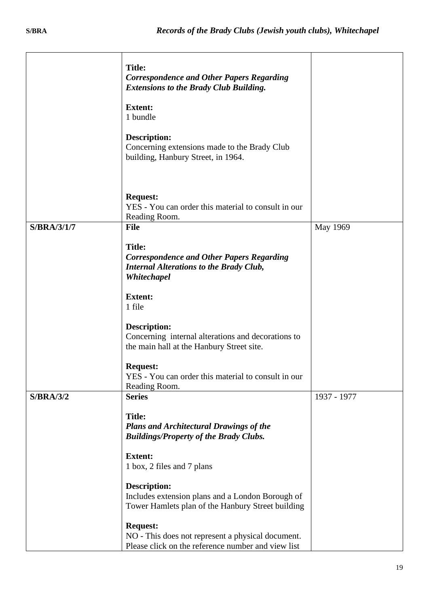|                  | <b>Title:</b><br><b>Correspondence and Other Papers Regarding</b><br><b>Extensions to the Brady Club Building.</b>                 |             |
|------------------|------------------------------------------------------------------------------------------------------------------------------------|-------------|
|                  | <b>Extent:</b><br>1 bundle                                                                                                         |             |
|                  | <b>Description:</b><br>Concerning extensions made to the Brady Club<br>building, Hanbury Street, in 1964.                          |             |
|                  | <b>Request:</b><br>YES - You can order this material to consult in our<br>Reading Room.                                            |             |
| S/BRA/3/1/7      | <b>File</b>                                                                                                                        | May 1969    |
|                  | <b>Title:</b><br><b>Correspondence and Other Papers Regarding</b><br><b>Internal Alterations to the Brady Club,</b><br>Whitechapel |             |
|                  | <b>Extent:</b><br>1 file                                                                                                           |             |
|                  | <b>Description:</b><br>Concerning internal alterations and decorations to<br>the main hall at the Hanbury Street site.             |             |
|                  | <b>Request:</b><br>YES - You can order this material to consult in our<br>Reading Room.                                            |             |
| <b>S/BRA/3/2</b> | <b>Series</b>                                                                                                                      | 1937 - 1977 |
|                  | <b>Title:</b><br><b>Plans and Architectural Drawings of the</b><br><b>Buildings/Property of the Brady Clubs.</b>                   |             |
|                  | <b>Extent:</b><br>1 box, 2 files and 7 plans                                                                                       |             |
|                  | <b>Description:</b><br>Includes extension plans and a London Borough of<br>Tower Hamlets plan of the Hanbury Street building       |             |
|                  | <b>Request:</b><br>NO - This does not represent a physical document.<br>Please click on the reference number and view list         |             |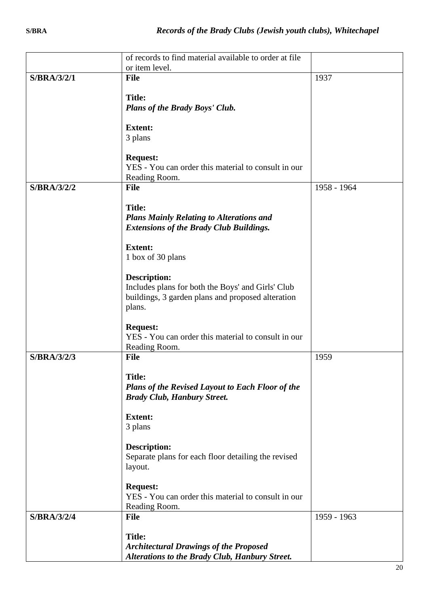|                    | of records to find material available to order at file      |             |
|--------------------|-------------------------------------------------------------|-------------|
|                    | or item level.                                              |             |
| <b>S/BRA/3/2/1</b> | <b>File</b>                                                 | 1937        |
|                    |                                                             |             |
|                    | <b>Title:</b>                                               |             |
|                    | Plans of the Brady Boys' Club.                              |             |
|                    | <b>Extent:</b>                                              |             |
|                    | 3 plans                                                     |             |
|                    |                                                             |             |
|                    | <b>Request:</b>                                             |             |
|                    | YES - You can order this material to consult in our         |             |
|                    | Reading Room.<br><b>File</b>                                |             |
| S/BRA/3/2/2        |                                                             | 1958 - 1964 |
|                    | <b>Title:</b>                                               |             |
|                    | <b>Plans Mainly Relating to Alterations and</b>             |             |
|                    | <b>Extensions of the Brady Club Buildings.</b>              |             |
|                    |                                                             |             |
|                    | <b>Extent:</b>                                              |             |
|                    | 1 box of 30 plans                                           |             |
|                    |                                                             |             |
|                    | <b>Description:</b>                                         |             |
|                    | Includes plans for both the Boys' and Girls' Club           |             |
|                    | buildings, 3 garden plans and proposed alteration<br>plans. |             |
|                    |                                                             |             |
|                    | <b>Request:</b>                                             |             |
|                    | YES - You can order this material to consult in our         |             |
|                    | Reading Room.                                               |             |
| <b>S/BRA/3/2/3</b> | <b>File</b>                                                 | 1959        |
|                    |                                                             |             |
|                    | <b>Title:</b>                                               |             |
|                    | <b>Plans of the Revised Layout to Each Floor of the</b>     |             |
|                    | <b>Brady Club, Hanbury Street.</b>                          |             |
|                    | <b>Extent:</b>                                              |             |
|                    | 3 plans                                                     |             |
|                    |                                                             |             |
|                    | <b>Description:</b>                                         |             |
|                    | Separate plans for each floor detailing the revised         |             |
|                    | layout.                                                     |             |
|                    | <b>Request:</b>                                             |             |
|                    | YES - You can order this material to consult in our         |             |
|                    | Reading Room.                                               |             |
| <b>S/BRA/3/2/4</b> | <b>File</b>                                                 | 1959 - 1963 |
|                    |                                                             |             |
|                    | <b>Title:</b>                                               |             |
|                    | <b>Architectural Drawings of the Proposed</b>               |             |
|                    | <b>Alterations to the Brady Club, Hanbury Street.</b>       |             |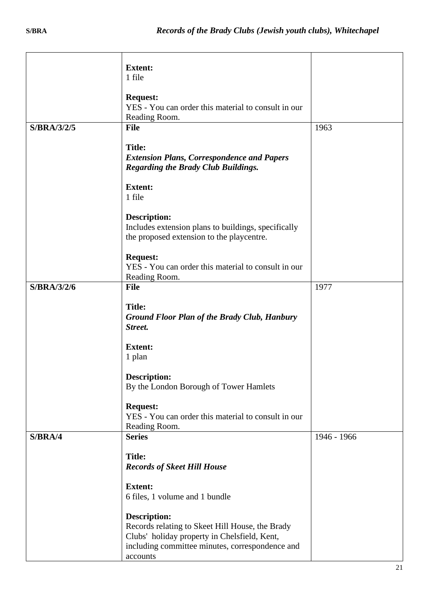|             | <b>Extent:</b>                                                                                                                                                                        |             |
|-------------|---------------------------------------------------------------------------------------------------------------------------------------------------------------------------------------|-------------|
|             | 1 file                                                                                                                                                                                |             |
|             | <b>Request:</b><br>YES - You can order this material to consult in our<br>Reading Room.                                                                                               |             |
| S/BRA/3/2/5 | <b>File</b>                                                                                                                                                                           | 1963        |
|             | <b>Title:</b><br><b>Extension Plans, Correspondence and Papers</b><br><b>Regarding the Brady Club Buildings.</b>                                                                      |             |
|             | <b>Extent:</b><br>1 file                                                                                                                                                              |             |
|             | <b>Description:</b><br>Includes extension plans to buildings, specifically<br>the proposed extension to the playcentre.                                                               |             |
|             | <b>Request:</b><br>YES - You can order this material to consult in our<br>Reading Room.                                                                                               |             |
| S/BRA/3/2/6 | <b>File</b>                                                                                                                                                                           | 1977        |
|             | <b>Title:</b><br><b>Ground Floor Plan of the Brady Club, Hanbury</b><br>Street.                                                                                                       |             |
|             | <b>Extent:</b><br>1 plan                                                                                                                                                              |             |
|             | <b>Description:</b><br>By the London Borough of Tower Hamlets                                                                                                                         |             |
|             | <b>Request:</b><br>YES - You can order this material to consult in our<br>Reading Room.                                                                                               |             |
| S/BRA/4     | <b>Series</b>                                                                                                                                                                         | 1946 - 1966 |
|             | <b>Title:</b><br><b>Records of Skeet Hill House</b>                                                                                                                                   |             |
|             | <b>Extent:</b><br>6 files, 1 volume and 1 bundle                                                                                                                                      |             |
|             | <b>Description:</b><br>Records relating to Skeet Hill House, the Brady<br>Clubs' holiday property in Chelsfield, Kent,<br>including committee minutes, correspondence and<br>accounts |             |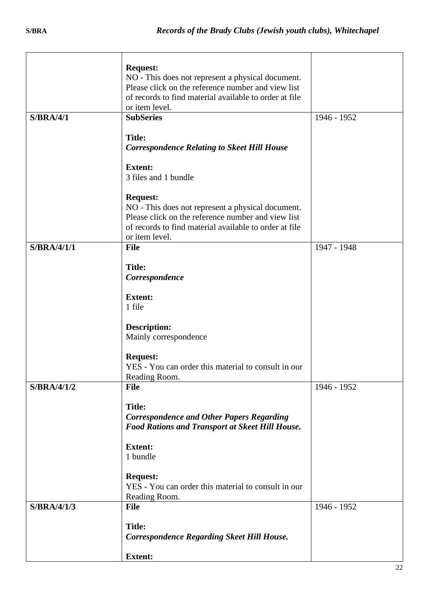|             | <b>Request:</b>                                        |             |
|-------------|--------------------------------------------------------|-------------|
|             | NO - This does not represent a physical document.      |             |
|             | Please click on the reference number and view list     |             |
|             | of records to find material available to order at file |             |
|             | or item level.                                         |             |
| S/BRA/4/1   | <b>SubSeries</b>                                       | 1946 - 1952 |
|             |                                                        |             |
|             | <b>Title:</b>                                          |             |
|             | <b>Correspondence Relating to Skeet Hill House</b>     |             |
|             | <b>Extent:</b>                                         |             |
|             | 3 files and 1 bundle                                   |             |
|             |                                                        |             |
|             | <b>Request:</b>                                        |             |
|             | NO - This does not represent a physical document.      |             |
|             | Please click on the reference number and view list     |             |
|             | of records to find material available to order at file |             |
|             | or item level.                                         |             |
| S/BRA/4/1/1 | File                                                   | 1947 - 1948 |
|             |                                                        |             |
|             | <b>Title:</b>                                          |             |
|             | Correspondence                                         |             |
|             | <b>Extent:</b>                                         |             |
|             | 1 file                                                 |             |
|             |                                                        |             |
|             | <b>Description:</b>                                    |             |
|             | Mainly correspondence                                  |             |
|             |                                                        |             |
|             | <b>Request:</b>                                        |             |
|             | YES - You can order this material to consult in our    |             |
|             | Reading Room.                                          |             |
| S/BRA/4/1/2 | <b>File</b>                                            | 1946 - 1952 |
|             |                                                        |             |
|             | <b>Title:</b>                                          |             |
|             | <b>Correspondence and Other Papers Regarding</b>       |             |
|             | Food Rations and Transport at Skeet Hill House.        |             |
|             | <b>Extent:</b>                                         |             |
|             | 1 bundle                                               |             |
|             |                                                        |             |
|             | <b>Request:</b>                                        |             |
|             | YES - You can order this material to consult in our    |             |
|             | Reading Room.                                          |             |
| S/BRA/4/1/3 | <b>File</b>                                            | 1946 - 1952 |
|             |                                                        |             |
|             | <b>Title:</b>                                          |             |
|             | <b>Correspondence Regarding Skeet Hill House.</b>      |             |
|             |                                                        |             |
|             | <b>Extent:</b>                                         |             |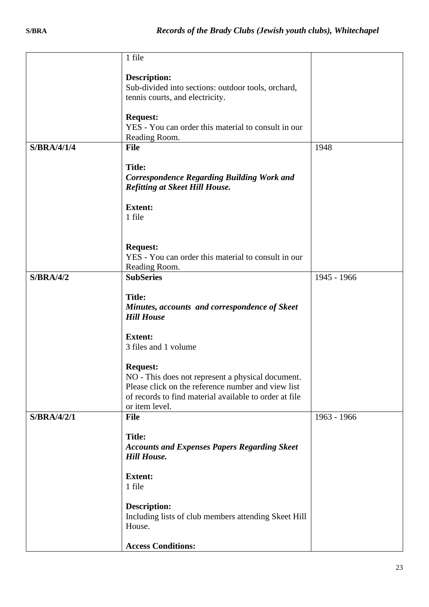|                    | 1 file                                                                                                  |             |
|--------------------|---------------------------------------------------------------------------------------------------------|-------------|
|                    | <b>Description:</b>                                                                                     |             |
|                    | Sub-divided into sections: outdoor tools, orchard,                                                      |             |
|                    | tennis courts, and electricity.                                                                         |             |
|                    | <b>Request:</b>                                                                                         |             |
|                    | YES - You can order this material to consult in our                                                     |             |
|                    | Reading Room.                                                                                           |             |
| <b>S/BRA/4/1/4</b> | <b>File</b>                                                                                             | 1948        |
|                    | <b>Title:</b>                                                                                           |             |
|                    | <b>Correspondence Regarding Building Work and</b>                                                       |             |
|                    | <b>Refitting at Skeet Hill House.</b>                                                                   |             |
|                    | <b>Extent:</b>                                                                                          |             |
|                    | 1 file                                                                                                  |             |
|                    |                                                                                                         |             |
|                    | <b>Request:</b>                                                                                         |             |
|                    | YES - You can order this material to consult in our                                                     |             |
|                    | Reading Room.                                                                                           |             |
| S/BRA/4/2          | <b>SubSeries</b>                                                                                        | 1945 - 1966 |
|                    | <b>Title:</b>                                                                                           |             |
|                    | Minutes, accounts and correspondence of Skeet                                                           |             |
|                    | <b>Hill House</b>                                                                                       |             |
|                    | <b>Extent:</b>                                                                                          |             |
|                    | 3 files and 1 volume                                                                                    |             |
|                    |                                                                                                         |             |
|                    | <b>Request:</b>                                                                                         |             |
|                    | NO - This does not represent a physical document.<br>Please click on the reference number and view list |             |
|                    | of records to find material available to order at file                                                  |             |
|                    | or item level.                                                                                          |             |
| S/BRA/4/2/1        | <b>File</b>                                                                                             | 1963 - 1966 |
|                    | <b>Title:</b>                                                                                           |             |
|                    | <b>Accounts and Expenses Papers Regarding Skeet</b>                                                     |             |
|                    | <b>Hill House.</b>                                                                                      |             |
|                    | <b>Extent:</b>                                                                                          |             |
|                    | 1 file                                                                                                  |             |
|                    |                                                                                                         |             |
|                    | Description:<br>Including lists of club members attending Skeet Hill                                    |             |
|                    | House.                                                                                                  |             |
|                    |                                                                                                         |             |
|                    | <b>Access Conditions:</b>                                                                               |             |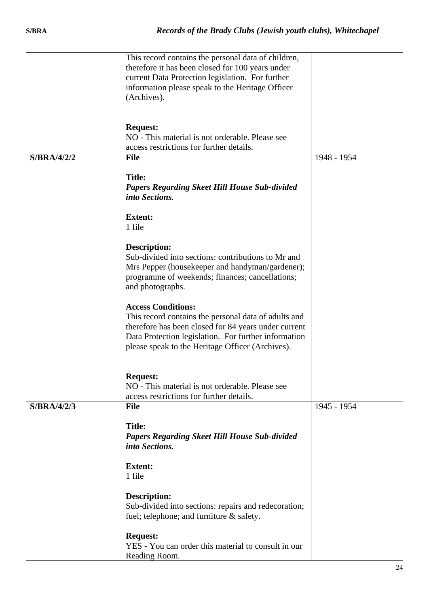|             | This record contains the personal data of children,  |             |
|-------------|------------------------------------------------------|-------------|
|             | therefore it has been closed for 100 years under     |             |
|             |                                                      |             |
|             | current Data Protection legislation. For further     |             |
|             | information please speak to the Heritage Officer     |             |
|             | (Archives).                                          |             |
|             |                                                      |             |
|             |                                                      |             |
|             |                                                      |             |
|             | <b>Request:</b>                                      |             |
|             | NO - This material is not orderable. Please see      |             |
|             | access restrictions for further details.             |             |
| S/BRA/4/2/2 | <b>File</b>                                          | 1948 - 1954 |
|             |                                                      |             |
|             | <b>Title:</b>                                        |             |
|             |                                                      |             |
|             | <b>Papers Regarding Skeet Hill House Sub-divided</b> |             |
|             | into Sections.                                       |             |
|             |                                                      |             |
|             | <b>Extent:</b>                                       |             |
|             | 1 file                                               |             |
|             |                                                      |             |
|             | <b>Description:</b>                                  |             |
|             |                                                      |             |
|             | Sub-divided into sections: contributions to Mr and   |             |
|             | Mrs Pepper (housekeeper and handyman/gardener);      |             |
|             | programme of weekends; finances; cancellations;      |             |
|             | and photographs.                                     |             |
|             |                                                      |             |
|             | <b>Access Conditions:</b>                            |             |
|             |                                                      |             |
|             | This record contains the personal data of adults and |             |
|             | therefore has been closed for 84 years under current |             |
|             | Data Protection legislation. For further information |             |
|             | please speak to the Heritage Officer (Archives).     |             |
|             |                                                      |             |
|             |                                                      |             |
|             |                                                      |             |
|             | <b>Request:</b>                                      |             |
|             | NO - This material is not orderable. Please see      |             |
|             | access restrictions for further details.             |             |
| S/BRA/4/2/3 | <b>File</b>                                          | 1945 - 1954 |
|             |                                                      |             |
|             | <b>Title:</b>                                        |             |
|             | <b>Papers Regarding Skeet Hill House Sub-divided</b> |             |
|             |                                                      |             |
|             | into Sections.                                       |             |
|             |                                                      |             |
|             | <b>Extent:</b>                                       |             |
|             | 1 file                                               |             |
|             |                                                      |             |
|             | <b>Description:</b>                                  |             |
|             | Sub-divided into sections: repairs and redecoration; |             |
|             |                                                      |             |
|             | fuel; telephone; and furniture & safety.             |             |
|             |                                                      |             |
|             | <b>Request:</b>                                      |             |
|             | YES - You can order this material to consult in our  |             |
|             | Reading Room.                                        |             |
|             |                                                      |             |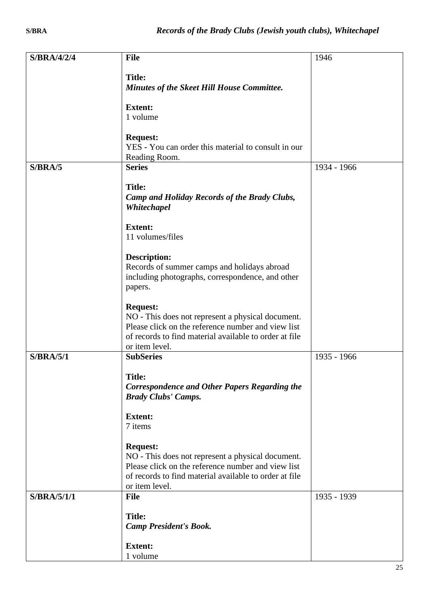| <b>S/BRA/4/2/4</b> | <b>File</b>                                                                                                  | 1946        |
|--------------------|--------------------------------------------------------------------------------------------------------------|-------------|
|                    |                                                                                                              |             |
|                    | <b>Title:</b>                                                                                                |             |
|                    | <b>Minutes of the Skeet Hill House Committee.</b>                                                            |             |
|                    |                                                                                                              |             |
|                    | <b>Extent:</b><br>1 volume                                                                                   |             |
|                    |                                                                                                              |             |
|                    | <b>Request:</b>                                                                                              |             |
|                    | YES - You can order this material to consult in our                                                          |             |
|                    | Reading Room.                                                                                                |             |
| S/BRA/5            | <b>Series</b>                                                                                                | 1934 - 1966 |
|                    |                                                                                                              |             |
|                    | <b>Title:</b><br>Camp and Holiday Records of the Brady Clubs,                                                |             |
|                    | Whitechapel                                                                                                  |             |
|                    |                                                                                                              |             |
|                    | <b>Extent:</b>                                                                                               |             |
|                    | 11 volumes/files                                                                                             |             |
|                    |                                                                                                              |             |
|                    | <b>Description:</b><br>Records of summer camps and holidays abroad                                           |             |
|                    | including photographs, correspondence, and other                                                             |             |
|                    | papers.                                                                                                      |             |
|                    |                                                                                                              |             |
|                    | <b>Request:</b>                                                                                              |             |
|                    | NO - This does not represent a physical document.                                                            |             |
|                    | Please click on the reference number and view list                                                           |             |
|                    | of records to find material available to order at file<br>or item level.                                     |             |
| <b>S/BRA/5/1</b>   | <b>SubSeries</b>                                                                                             | 1935 - 1966 |
|                    |                                                                                                              |             |
|                    | <b>Title:</b>                                                                                                |             |
|                    | <b>Correspondence and Other Papers Regarding the</b>                                                         |             |
|                    | <b>Brady Clubs' Camps.</b>                                                                                   |             |
|                    | <b>Extent:</b>                                                                                               |             |
|                    | 7 items                                                                                                      |             |
|                    |                                                                                                              |             |
|                    | <b>Request:</b>                                                                                              |             |
|                    | NO - This does not represent a physical document.                                                            |             |
|                    | Please click on the reference number and view list<br>of records to find material available to order at file |             |
|                    | or item level.                                                                                               |             |
| S/BRA/5/1/1        | <b>File</b>                                                                                                  | 1935 - 1939 |
|                    |                                                                                                              |             |
|                    | <b>Title:</b>                                                                                                |             |
|                    | <b>Camp President's Book.</b>                                                                                |             |
|                    | <b>Extent:</b>                                                                                               |             |
|                    | 1 volume                                                                                                     |             |
|                    |                                                                                                              |             |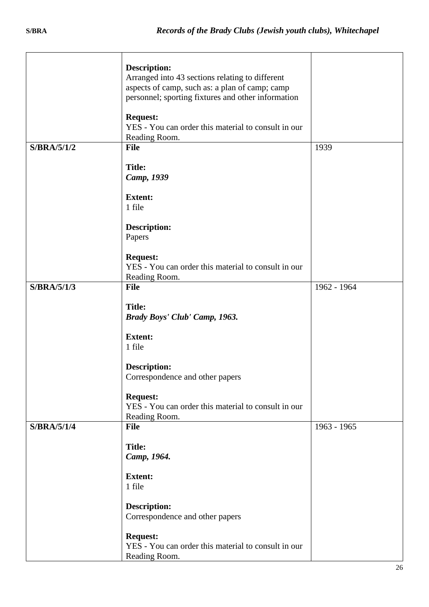|                    | <b>Description:</b><br>Arranged into 43 sections relating to different<br>aspects of camp, such as: a plan of camp; camp<br>personnel; sporting fixtures and other information |             |
|--------------------|--------------------------------------------------------------------------------------------------------------------------------------------------------------------------------|-------------|
|                    | <b>Request:</b><br>YES - You can order this material to consult in our<br>Reading Room.                                                                                        |             |
| S/BRA/5/1/2        | <b>File</b>                                                                                                                                                                    | 1939        |
|                    | <b>Title:</b><br>Camp, 1939                                                                                                                                                    |             |
|                    | <b>Extent:</b>                                                                                                                                                                 |             |
|                    | 1 file                                                                                                                                                                         |             |
|                    | <b>Description:</b><br>Papers                                                                                                                                                  |             |
|                    | <b>Request:</b><br>YES - You can order this material to consult in our<br>Reading Room.                                                                                        |             |
| S/BRA/5/1/3        | <b>File</b>                                                                                                                                                                    | 1962 - 1964 |
|                    | <b>Title:</b><br>Brady Boys' Club' Camp, 1963.<br><b>Extent:</b><br>1 file                                                                                                     |             |
|                    | <b>Description:</b><br>Correspondence and other papers                                                                                                                         |             |
|                    | <b>Request:</b><br>YES - You can order this material to consult in our<br>Reading Room.                                                                                        |             |
| <b>S/BRA/5/1/4</b> | <b>File</b>                                                                                                                                                                    | 1963 - 1965 |
|                    | <b>Title:</b><br>Camp, 1964.                                                                                                                                                   |             |
|                    | <b>Extent:</b>                                                                                                                                                                 |             |
|                    | 1 file                                                                                                                                                                         |             |
|                    | <b>Description:</b><br>Correspondence and other papers                                                                                                                         |             |
|                    | <b>Request:</b><br>YES - You can order this material to consult in our<br>Reading Room.                                                                                        |             |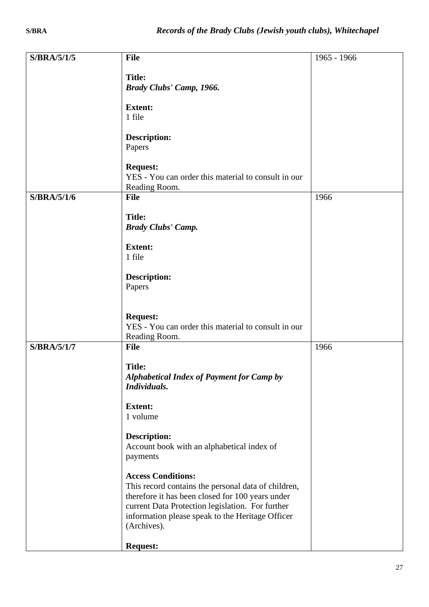| S/BRA/5/1/5        | <b>File</b>                                                                      | 1965 - 1966 |
|--------------------|----------------------------------------------------------------------------------|-------------|
|                    |                                                                                  |             |
|                    | <b>Title:</b>                                                                    |             |
|                    | Brady Clubs' Camp, 1966.                                                         |             |
|                    | <b>Extent:</b>                                                                   |             |
|                    | 1 file                                                                           |             |
|                    |                                                                                  |             |
|                    | <b>Description:</b>                                                              |             |
|                    | Papers                                                                           |             |
|                    | <b>Request:</b>                                                                  |             |
|                    | YES - You can order this material to consult in our                              |             |
|                    | Reading Room.                                                                    |             |
| S/BRA/5/1/6        | <b>File</b>                                                                      | 1966        |
|                    | <b>Title:</b>                                                                    |             |
|                    | <b>Brady Clubs' Camp.</b>                                                        |             |
|                    |                                                                                  |             |
|                    | <b>Extent:</b>                                                                   |             |
|                    | 1 file                                                                           |             |
|                    | <b>Description:</b>                                                              |             |
|                    | Papers                                                                           |             |
|                    |                                                                                  |             |
|                    |                                                                                  |             |
|                    | <b>Request:</b><br>YES - You can order this material to consult in our           |             |
|                    | Reading Room.                                                                    |             |
| <b>S/BRA/5/1/7</b> | File                                                                             | 1966        |
|                    |                                                                                  |             |
|                    | <b>Title:</b>                                                                    |             |
|                    | <b>Alphabetical Index of Payment for Camp by</b><br>Individuals.                 |             |
|                    |                                                                                  |             |
|                    | <b>Extent:</b>                                                                   |             |
|                    | 1 volume                                                                         |             |
|                    | <b>Description:</b>                                                              |             |
|                    | Account book with an alphabetical index of                                       |             |
|                    | payments                                                                         |             |
|                    |                                                                                  |             |
|                    | <b>Access Conditions:</b><br>This record contains the personal data of children, |             |
|                    | therefore it has been closed for 100 years under                                 |             |
|                    | current Data Protection legislation. For further                                 |             |
|                    | information please speak to the Heritage Officer                                 |             |
|                    | (Archives).                                                                      |             |
|                    | <b>Request:</b>                                                                  |             |
|                    |                                                                                  |             |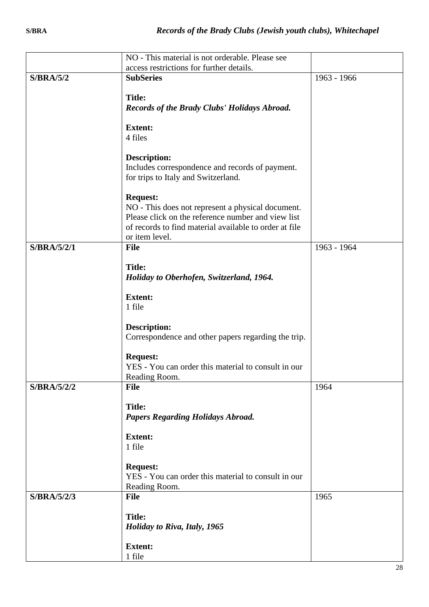|             | NO - This material is not orderable. Please see        |             |
|-------------|--------------------------------------------------------|-------------|
|             | access restrictions for further details.               |             |
| S/BRA/5/2   | <b>SubSeries</b>                                       | 1963 - 1966 |
|             |                                                        |             |
|             | <b>Title:</b>                                          |             |
|             | Records of the Brady Clubs' Holidays Abroad.           |             |
|             |                                                        |             |
|             | <b>Extent:</b>                                         |             |
|             | 4 files                                                |             |
|             |                                                        |             |
|             | <b>Description:</b>                                    |             |
|             | Includes correspondence and records of payment.        |             |
|             | for trips to Italy and Switzerland.                    |             |
|             |                                                        |             |
|             | <b>Request:</b>                                        |             |
|             | NO - This does not represent a physical document.      |             |
|             | Please click on the reference number and view list     |             |
|             | of records to find material available to order at file |             |
|             | or item level.<br><b>File</b>                          |             |
| S/BRA/5/2/1 |                                                        | 1963 - 1964 |
|             | <b>Title:</b>                                          |             |
|             | Holiday to Oberhofen, Switzerland, 1964.               |             |
|             |                                                        |             |
|             | <b>Extent:</b>                                         |             |
|             | 1 file                                                 |             |
|             |                                                        |             |
|             | <b>Description:</b>                                    |             |
|             | Correspondence and other papers regarding the trip.    |             |
|             |                                                        |             |
|             | <b>Request:</b>                                        |             |
|             | YES - You can order this material to consult in our    |             |
|             | Reading Room.                                          |             |
| S/BRA/5/2/2 | <b>File</b>                                            | 1964        |
|             |                                                        |             |
|             | <b>Title:</b>                                          |             |
|             | <b>Papers Regarding Holidays Abroad.</b>               |             |
|             | <b>Extent:</b>                                         |             |
|             | 1 file                                                 |             |
|             |                                                        |             |
|             | <b>Request:</b>                                        |             |
|             | YES - You can order this material to consult in our    |             |
|             | Reading Room.                                          |             |
| S/BRA/5/2/3 | <b>File</b>                                            | 1965        |
|             |                                                        |             |
|             | <b>Title:</b>                                          |             |
|             | Holiday to Riva, Italy, 1965                           |             |
|             |                                                        |             |
|             | <b>Extent:</b>                                         |             |
|             | 1 file                                                 |             |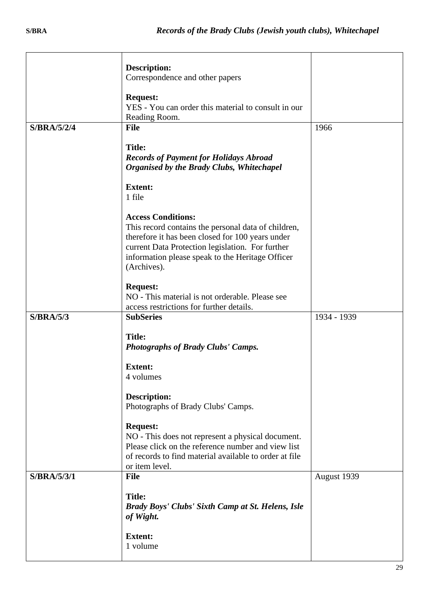|                    | <b>Description:</b>                                                                                                                                                                                                                                         |             |
|--------------------|-------------------------------------------------------------------------------------------------------------------------------------------------------------------------------------------------------------------------------------------------------------|-------------|
|                    | Correspondence and other papers                                                                                                                                                                                                                             |             |
|                    | <b>Request:</b><br>YES - You can order this material to consult in our<br>Reading Room.                                                                                                                                                                     |             |
| <b>S/BRA/5/2/4</b> | <b>File</b>                                                                                                                                                                                                                                                 | 1966        |
|                    | <b>Title:</b><br><b>Records of Payment for Holidays Abroad</b><br>Organised by the Brady Clubs, Whitechapel                                                                                                                                                 |             |
|                    | <b>Extent:</b><br>1 file                                                                                                                                                                                                                                    |             |
|                    | <b>Access Conditions:</b><br>This record contains the personal data of children,<br>therefore it has been closed for 100 years under<br>current Data Protection legislation. For further<br>information please speak to the Heritage Officer<br>(Archives). |             |
|                    | <b>Request:</b><br>NO - This material is not orderable. Please see<br>access restrictions for further details.                                                                                                                                              |             |
| S/BRA/5/3          | <b>SubSeries</b>                                                                                                                                                                                                                                            | 1934 - 1939 |
|                    | <b>Title:</b><br><b>Photographs of Brady Clubs' Camps.</b>                                                                                                                                                                                                  |             |
|                    | <b>Extent:</b>                                                                                                                                                                                                                                              |             |
|                    | 4 volumes                                                                                                                                                                                                                                                   |             |
|                    | <b>Description:</b><br>Photographs of Brady Clubs' Camps.                                                                                                                                                                                                   |             |
|                    | <b>Request:</b><br>NO - This does not represent a physical document.<br>Please click on the reference number and view list<br>of records to find material available to order at file<br>or item level.                                                      |             |
| S/BRA/5/3/1        | <b>File</b>                                                                                                                                                                                                                                                 | August 1939 |
|                    | <b>Title:</b><br><b>Brady Boys' Clubs' Sixth Camp at St. Helens, Isle</b><br>of Wight.                                                                                                                                                                      |             |
|                    | <b>Extent:</b><br>1 volume                                                                                                                                                                                                                                  |             |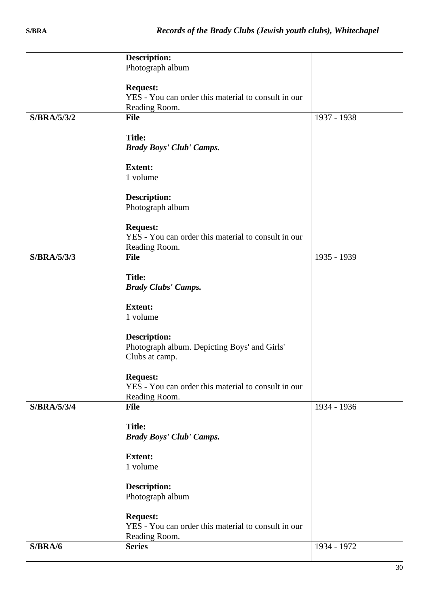|             | <b>Description:</b>                                 |             |
|-------------|-----------------------------------------------------|-------------|
|             | Photograph album                                    |             |
|             |                                                     |             |
|             | <b>Request:</b>                                     |             |
|             | YES - You can order this material to consult in our |             |
|             |                                                     |             |
|             | Reading Room.                                       |             |
| S/BRA/5/3/2 | <b>File</b>                                         | 1937 - 1938 |
|             |                                                     |             |
|             | <b>Title:</b>                                       |             |
|             | <b>Brady Boys' Club' Camps.</b>                     |             |
|             |                                                     |             |
|             | <b>Extent:</b>                                      |             |
|             |                                                     |             |
|             | 1 volume                                            |             |
|             |                                                     |             |
|             | <b>Description:</b>                                 |             |
|             | Photograph album                                    |             |
|             |                                                     |             |
|             | <b>Request:</b>                                     |             |
|             | YES - You can order this material to consult in our |             |
|             |                                                     |             |
|             | Reading Room.                                       |             |
| S/BRA/5/3/3 | File                                                | 1935 - 1939 |
|             |                                                     |             |
|             | <b>Title:</b>                                       |             |
|             | <b>Brady Clubs' Camps.</b>                          |             |
|             |                                                     |             |
|             | <b>Extent:</b>                                      |             |
|             | 1 volume                                            |             |
|             |                                                     |             |
|             |                                                     |             |
|             | <b>Description:</b>                                 |             |
|             | Photograph album. Depicting Boys' and Girls'        |             |
|             | Clubs at camp.                                      |             |
|             |                                                     |             |
|             | <b>Request:</b>                                     |             |
|             | YES - You can order this material to consult in our |             |
|             | Reading Room.                                       |             |
| S/BRA/5/3/4 | File                                                | 1934 - 1936 |
|             |                                                     |             |
|             | <b>Title:</b>                                       |             |
|             |                                                     |             |
|             | <b>Brady Boys' Club' Camps.</b>                     |             |
|             |                                                     |             |
|             | <b>Extent:</b>                                      |             |
|             | 1 volume                                            |             |
|             |                                                     |             |
|             | <b>Description:</b>                                 |             |
|             | Photograph album                                    |             |
|             |                                                     |             |
|             | <b>Request:</b>                                     |             |
|             |                                                     |             |
|             | YES - You can order this material to consult in our |             |
|             | Reading Room.                                       |             |
| S/BRA/6     | <b>Series</b>                                       | 1934 - 1972 |
|             |                                                     |             |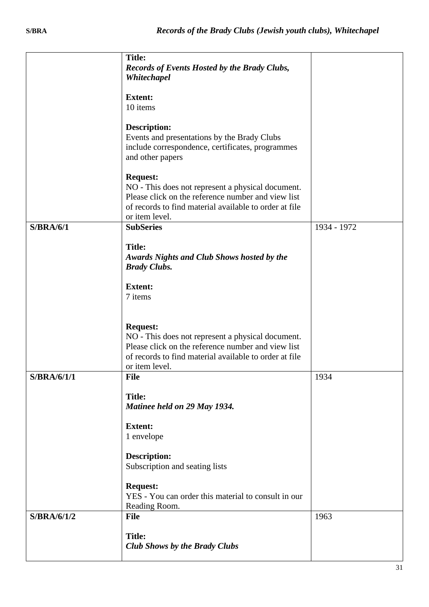|             | <b>Title:</b><br><b>Records of Events Hosted by the Brady Clubs,</b><br>Whitechapel                                                                                                                    |             |
|-------------|--------------------------------------------------------------------------------------------------------------------------------------------------------------------------------------------------------|-------------|
|             | <b>Extent:</b><br>10 items                                                                                                                                                                             |             |
|             | <b>Description:</b><br>Events and presentations by the Brady Clubs<br>include correspondence, certificates, programmes<br>and other papers                                                             |             |
|             | <b>Request:</b><br>NO - This does not represent a physical document.<br>Please click on the reference number and view list<br>of records to find material available to order at file<br>or item level. |             |
| S/BRA/6/1   | <b>SubSeries</b>                                                                                                                                                                                       | 1934 - 1972 |
|             | <b>Title:</b><br>Awards Nights and Club Shows hosted by the<br><b>Brady Clubs.</b>                                                                                                                     |             |
|             | <b>Extent:</b><br>7 items                                                                                                                                                                              |             |
|             | <b>Request:</b><br>NO - This does not represent a physical document.<br>Please click on the reference number and view list<br>of records to find material available to order at file<br>or item level. |             |
| S/BRA/6/1/1 | <b>File</b>                                                                                                                                                                                            | 1934        |
|             | <b>Title:</b><br>Matinee held on 29 May 1934.                                                                                                                                                          |             |
|             | <b>Extent:</b><br>1 envelope                                                                                                                                                                           |             |
|             | <b>Description:</b><br>Subscription and seating lists                                                                                                                                                  |             |
|             | <b>Request:</b><br>YES - You can order this material to consult in our<br>Reading Room.                                                                                                                |             |
| S/BRA/6/1/2 | <b>File</b>                                                                                                                                                                                            | 1963        |
|             | <b>Title:</b><br><b>Club Shows by the Brady Clubs</b>                                                                                                                                                  |             |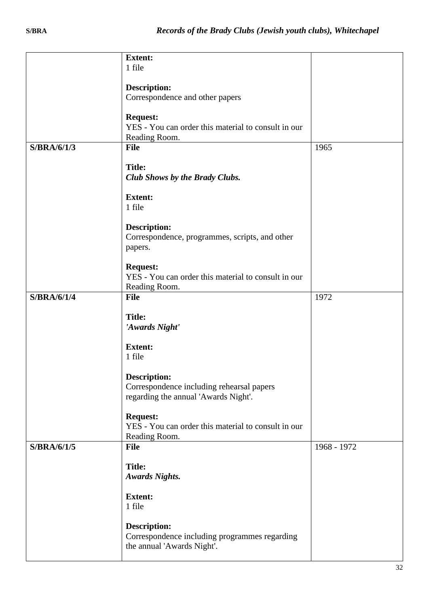|             | <b>Extent:</b><br>1 file                                                                                 |             |
|-------------|----------------------------------------------------------------------------------------------------------|-------------|
|             | <b>Description:</b>                                                                                      |             |
|             | Correspondence and other papers                                                                          |             |
|             | <b>Request:</b><br>YES - You can order this material to consult in our<br>Reading Room.                  |             |
| S/BRA/6/1/3 | <b>File</b>                                                                                              | 1965        |
|             | <b>Title:</b><br>Club Shows by the Brady Clubs.                                                          |             |
|             | <b>Extent:</b>                                                                                           |             |
|             | 1 file                                                                                                   |             |
|             | <b>Description:</b><br>Correspondence, programmes, scripts, and other<br>papers.                         |             |
|             | <b>Request:</b><br>YES - You can order this material to consult in our<br>Reading Room.                  |             |
| S/BRA/6/1/4 | <b>File</b>                                                                                              | 1972        |
|             | <b>Title:</b><br>'Awards Night'                                                                          |             |
|             | <b>Extent:</b><br>1 file                                                                                 |             |
|             | <b>Description:</b><br>Correspondence including rehearsal papers<br>regarding the annual 'Awards Night'. |             |
|             | <b>Request:</b><br>YES - You can order this material to consult in our<br>Reading Room.                  |             |
| S/BRA/6/1/5 | <b>File</b>                                                                                              | 1968 - 1972 |
|             | <b>Title:</b><br><b>Awards Nights.</b>                                                                   |             |
|             | <b>Extent:</b><br>1 file                                                                                 |             |
|             | <b>Description:</b><br>Correspondence including programmes regarding<br>the annual 'Awards Night'.       |             |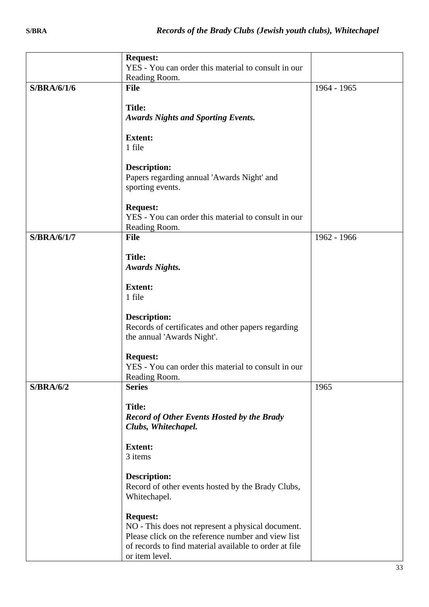|                  | <b>Request:</b>                                        |             |
|------------------|--------------------------------------------------------|-------------|
|                  | YES - You can order this material to consult in our    |             |
|                  | Reading Room.                                          |             |
| S/BRA/6/1/6      | <b>File</b>                                            | 1964 - 1965 |
|                  |                                                        |             |
|                  | <b>Title:</b>                                          |             |
|                  | <b>Awards Nights and Sporting Events.</b>              |             |
|                  |                                                        |             |
|                  | <b>Extent:</b>                                         |             |
|                  | 1 file                                                 |             |
|                  |                                                        |             |
|                  | <b>Description:</b>                                    |             |
|                  |                                                        |             |
|                  | Papers regarding annual 'Awards Night' and             |             |
|                  | sporting events.                                       |             |
|                  | <b>Request:</b>                                        |             |
|                  |                                                        |             |
|                  | YES - You can order this material to consult in our    |             |
|                  | Reading Room.                                          |             |
| S/BRA/6/1/7      | <b>File</b>                                            | 1962 - 1966 |
|                  |                                                        |             |
|                  | <b>Title:</b>                                          |             |
|                  | <b>Awards Nights.</b>                                  |             |
|                  | <b>Extent:</b>                                         |             |
|                  |                                                        |             |
|                  | 1 file                                                 |             |
|                  |                                                        |             |
|                  | <b>Description:</b>                                    |             |
|                  | Records of certificates and other papers regarding     |             |
|                  | the annual 'Awards Night'.                             |             |
|                  |                                                        |             |
|                  | <b>Request:</b>                                        |             |
|                  | YES - You can order this material to consult in our    |             |
|                  | Reading Room.                                          |             |
| <b>S/BRA/6/2</b> | <b>Series</b>                                          | 1965        |
|                  |                                                        |             |
|                  | <b>Title:</b>                                          |             |
|                  | <b>Record of Other Events Hosted by the Brady</b>      |             |
|                  | Clubs, Whitechapel.                                    |             |
|                  |                                                        |             |
|                  | <b>Extent:</b>                                         |             |
|                  | 3 items                                                |             |
|                  |                                                        |             |
|                  | <b>Description:</b>                                    |             |
|                  | Record of other events hosted by the Brady Clubs,      |             |
|                  | Whitechapel.                                           |             |
|                  |                                                        |             |
|                  | <b>Request:</b>                                        |             |
|                  | NO - This does not represent a physical document.      |             |
|                  | Please click on the reference number and view list     |             |
|                  | of records to find material available to order at file |             |
|                  | or item level.                                         |             |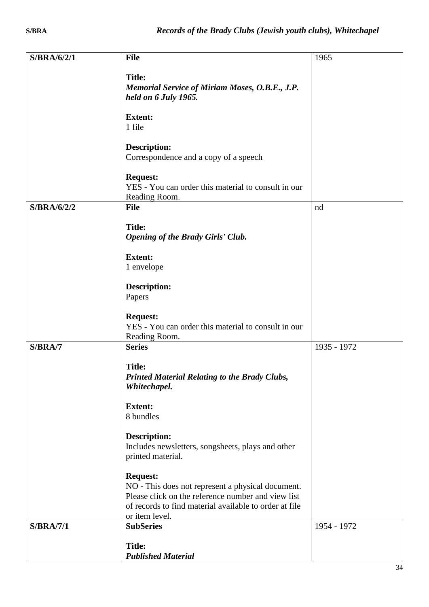| S/BRA/6/2/1      | <b>File</b>                                                                                             | 1965        |
|------------------|---------------------------------------------------------------------------------------------------------|-------------|
|                  |                                                                                                         |             |
|                  | <b>Title:</b><br>Memorial Service of Miriam Moses, O.B.E., J.P.                                         |             |
|                  | held on 6 July 1965.                                                                                    |             |
|                  |                                                                                                         |             |
|                  | <b>Extent:</b>                                                                                          |             |
|                  | 1 file                                                                                                  |             |
|                  | <b>Description:</b>                                                                                     |             |
|                  | Correspondence and a copy of a speech                                                                   |             |
|                  |                                                                                                         |             |
|                  | <b>Request:</b><br>YES - You can order this material to consult in our                                  |             |
|                  | Reading Room.                                                                                           |             |
| S/BRA/6/2/2      | <b>File</b>                                                                                             | nd          |
|                  | <b>Title:</b>                                                                                           |             |
|                  | <b>Opening of the Brady Girls' Club.</b>                                                                |             |
|                  |                                                                                                         |             |
|                  | <b>Extent:</b>                                                                                          |             |
|                  | 1 envelope                                                                                              |             |
|                  | <b>Description:</b>                                                                                     |             |
|                  | Papers                                                                                                  |             |
|                  |                                                                                                         |             |
|                  | <b>Request:</b><br>YES - You can order this material to consult in our                                  |             |
|                  | Reading Room.                                                                                           |             |
| S/BRA/7          | <b>Series</b>                                                                                           | 1935 - 1972 |
|                  | <b>Title:</b>                                                                                           |             |
|                  | <b>Printed Material Relating to the Brady Clubs,</b>                                                    |             |
|                  | Whitechapel.                                                                                            |             |
|                  | <b>Extent:</b>                                                                                          |             |
|                  | 8 bundles                                                                                               |             |
|                  |                                                                                                         |             |
|                  | <b>Description:</b>                                                                                     |             |
|                  | Includes newsletters, songsheets, plays and other<br>printed material.                                  |             |
|                  |                                                                                                         |             |
|                  | <b>Request:</b>                                                                                         |             |
|                  | NO - This does not represent a physical document.<br>Please click on the reference number and view list |             |
|                  | of records to find material available to order at file                                                  |             |
|                  | or item level.                                                                                          |             |
| <b>S/BRA/7/1</b> | <b>SubSeries</b>                                                                                        | 1954 - 1972 |
|                  | <b>Title:</b>                                                                                           |             |
|                  | <b>Published Material</b>                                                                               |             |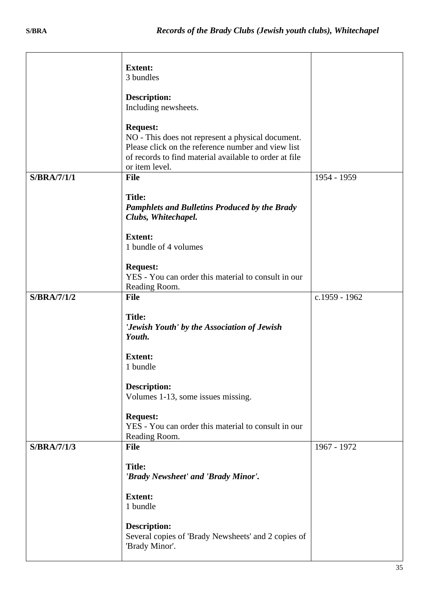|                    | <b>Extent:</b><br>3 bundles<br><b>Description:</b><br>Including newsheets.                                                                                                                             |               |
|--------------------|--------------------------------------------------------------------------------------------------------------------------------------------------------------------------------------------------------|---------------|
|                    | <b>Request:</b><br>NO - This does not represent a physical document.<br>Please click on the reference number and view list<br>of records to find material available to order at file<br>or item level. |               |
| <b>S/BRA/7/1/1</b> | File                                                                                                                                                                                                   | 1954 - 1959   |
|                    | <b>Title:</b><br><b>Pamphlets and Bulletins Produced by the Brady</b><br>Clubs, Whitechapel.                                                                                                           |               |
|                    | <b>Extent:</b><br>1 bundle of 4 volumes                                                                                                                                                                |               |
|                    | <b>Request:</b><br>YES - You can order this material to consult in our<br>Reading Room.                                                                                                                |               |
| <b>S/BRA/7/1/2</b> | <b>File</b>                                                                                                                                                                                            | c.1959 - 1962 |
|                    | <b>Title:</b><br>'Jewish Youth' by the Association of Jewish<br>Youth.                                                                                                                                 |               |
|                    | <b>Extent:</b><br>1 bundle                                                                                                                                                                             |               |
|                    | <b>Description:</b><br>Volumes 1-13, some issues missing.                                                                                                                                              |               |
|                    | <b>Request:</b><br>YES - You can order this material to consult in our<br>Reading Room.                                                                                                                |               |
| <b>S/BRA/7/1/3</b> | <b>File</b>                                                                                                                                                                                            | 1967 - 1972   |
|                    | <b>Title:</b><br>'Brady Newsheet' and 'Brady Minor'.                                                                                                                                                   |               |
|                    | <b>Extent:</b><br>1 bundle                                                                                                                                                                             |               |
|                    | <b>Description:</b><br>Several copies of 'Brady Newsheets' and 2 copies of<br>'Brady Minor'.                                                                                                           |               |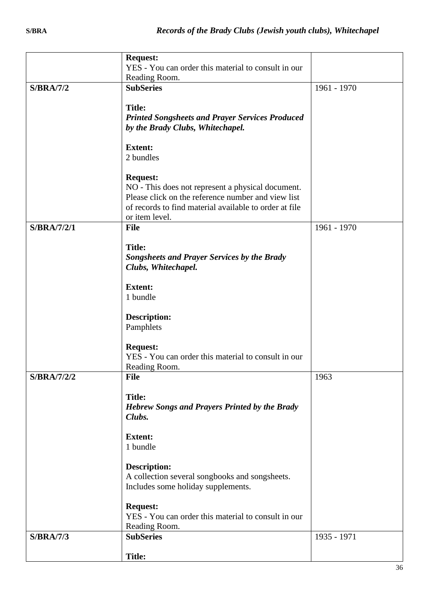|                    | <b>Request:</b><br>YES - You can order this material to consult in our                                                                                                                                 |             |
|--------------------|--------------------------------------------------------------------------------------------------------------------------------------------------------------------------------------------------------|-------------|
|                    | Reading Room.                                                                                                                                                                                          |             |
| <b>S/BRA/7/2</b>   | <b>SubSeries</b><br><b>Title:</b><br><b>Printed Songsheets and Prayer Services Produced</b><br>by the Brady Clubs, Whitechapel.                                                                        | 1961 - 1970 |
|                    | <b>Extent:</b><br>2 bundles                                                                                                                                                                            |             |
|                    | <b>Request:</b><br>NO - This does not represent a physical document.<br>Please click on the reference number and view list<br>of records to find material available to order at file<br>or item level. |             |
| <b>S/BRA/7/2/1</b> | <b>File</b>                                                                                                                                                                                            | 1961 - 1970 |
|                    | <b>Title:</b><br><b>Songsheets and Prayer Services by the Brady</b><br>Clubs, Whitechapel.                                                                                                             |             |
|                    | <b>Extent:</b>                                                                                                                                                                                         |             |
|                    | 1 bundle                                                                                                                                                                                               |             |
|                    | <b>Description:</b><br>Pamphlets                                                                                                                                                                       |             |
|                    | <b>Request:</b><br>YES - You can order this material to consult in our<br>Reading Room.                                                                                                                |             |
| <b>S/BRA/7/2/2</b> | <b>File</b>                                                                                                                                                                                            | 1963        |
|                    | <b>Title:</b><br><b>Hebrew Songs and Prayers Printed by the Brady</b><br>Clubs.                                                                                                                        |             |
|                    | <b>Extent:</b><br>1 bundle                                                                                                                                                                             |             |
|                    | <b>Description:</b><br>A collection several songbooks and songsheets.<br>Includes some holiday supplements.                                                                                            |             |
|                    | <b>Request:</b><br>YES - You can order this material to consult in our<br>Reading Room.                                                                                                                |             |
| <b>S/BRA/7/3</b>   | <b>SubSeries</b>                                                                                                                                                                                       | 1935 - 1971 |
|                    | <b>Title:</b>                                                                                                                                                                                          |             |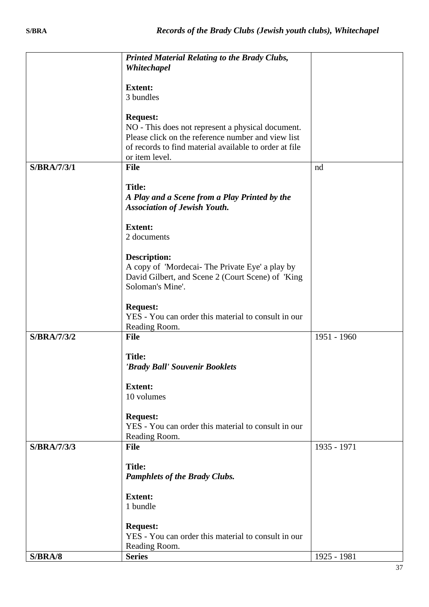|                    | <b>Printed Material Relating to the Brady Clubs,</b><br>Whitechapel                                                                                                                                    |             |
|--------------------|--------------------------------------------------------------------------------------------------------------------------------------------------------------------------------------------------------|-------------|
|                    | <b>Extent:</b>                                                                                                                                                                                         |             |
|                    | 3 bundles                                                                                                                                                                                              |             |
|                    | <b>Request:</b><br>NO - This does not represent a physical document.<br>Please click on the reference number and view list<br>of records to find material available to order at file<br>or item level. |             |
| <b>S/BRA/7/3/1</b> | <b>File</b>                                                                                                                                                                                            | nd          |
|                    | <b>Title:</b><br>A Play and a Scene from a Play Printed by the<br><b>Association of Jewish Youth.</b>                                                                                                  |             |
|                    | <b>Extent:</b><br>2 documents                                                                                                                                                                          |             |
|                    | <b>Description:</b><br>A copy of 'Mordecai- The Private Eye' a play by<br>David Gilbert, and Scene 2 (Court Scene) of 'King<br>Soloman's Mine'.                                                        |             |
|                    | <b>Request:</b><br>YES - You can order this material to consult in our<br>Reading Room.                                                                                                                |             |
| <b>S/BRA/7/3/2</b> | <b>File</b>                                                                                                                                                                                            | 1951 - 1960 |
|                    | <b>Title:</b><br>'Brady Ball' Souvenir Booklets                                                                                                                                                        |             |
|                    | <b>Extent:</b><br>10 volumes                                                                                                                                                                           |             |
|                    | <b>Request:</b><br>YES - You can order this material to consult in our<br>Reading Room.                                                                                                                |             |
| <b>S/BRA/7/3/3</b> | <b>File</b>                                                                                                                                                                                            | 1935 - 1971 |
|                    | <b>Title:</b><br><b>Pamphlets of the Brady Clubs.</b>                                                                                                                                                  |             |
|                    | <b>Extent:</b><br>1 bundle                                                                                                                                                                             |             |
|                    | <b>Request:</b><br>YES - You can order this material to consult in our<br>Reading Room.                                                                                                                |             |
| <b>S/BRA/8</b>     | <b>Series</b>                                                                                                                                                                                          | 1925 - 1981 |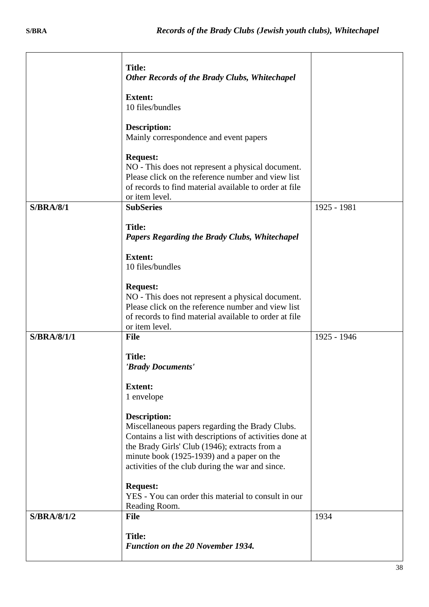|                    | <b>Title:</b><br>Other Records of the Brady Clubs, Whitechapel                                                                                                                                                                                                                       |             |
|--------------------|--------------------------------------------------------------------------------------------------------------------------------------------------------------------------------------------------------------------------------------------------------------------------------------|-------------|
|                    | <b>Extent:</b><br>10 files/bundles                                                                                                                                                                                                                                                   |             |
|                    | <b>Description:</b><br>Mainly correspondence and event papers                                                                                                                                                                                                                        |             |
|                    | <b>Request:</b><br>NO - This does not represent a physical document.<br>Please click on the reference number and view list<br>of records to find material available to order at file<br>or item level.                                                                               |             |
| S/BRA/8/1          | <b>SubSeries</b>                                                                                                                                                                                                                                                                     | 1925 - 1981 |
|                    | <b>Title:</b><br><b>Papers Regarding the Brady Clubs, Whitechapel</b>                                                                                                                                                                                                                |             |
|                    | <b>Extent:</b><br>10 files/bundles                                                                                                                                                                                                                                                   |             |
|                    | <b>Request:</b><br>NO - This does not represent a physical document.<br>Please click on the reference number and view list<br>of records to find material available to order at file<br>or item level.                                                                               |             |
| <b>S/BRA/8/1/1</b> | <b>File</b>                                                                                                                                                                                                                                                                          | 1925 - 1946 |
|                    | <b>Title:</b><br>'Brady Documents'                                                                                                                                                                                                                                                   |             |
|                    | <b>Extent:</b><br>1 envelope                                                                                                                                                                                                                                                         |             |
|                    | <b>Description:</b><br>Miscellaneous papers regarding the Brady Clubs.<br>Contains a list with descriptions of activities done at<br>the Brady Girls' Club (1946); extracts from a<br>minute book (1925-1939) and a paper on the<br>activities of the club during the war and since. |             |
|                    | <b>Request:</b><br>YES - You can order this material to consult in our<br>Reading Room.                                                                                                                                                                                              |             |
| S/BRA/8/1/2        | <b>File</b>                                                                                                                                                                                                                                                                          | 1934        |
|                    | <b>Title:</b><br><b>Function on the 20 November 1934.</b>                                                                                                                                                                                                                            |             |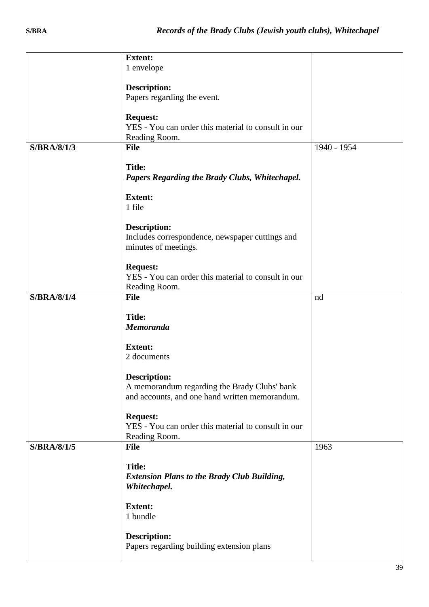|                    | <b>Extent:</b><br>1 envelope                                            |             |
|--------------------|-------------------------------------------------------------------------|-------------|
|                    |                                                                         |             |
|                    | <b>Description:</b>                                                     |             |
|                    | Papers regarding the event.                                             |             |
|                    | <b>Request:</b>                                                         |             |
|                    | YES - You can order this material to consult in our                     |             |
| <b>S/BRA/8/1/3</b> | Reading Room.                                                           |             |
|                    | <b>File</b>                                                             | 1940 - 1954 |
|                    | <b>Title:</b>                                                           |             |
|                    | Papers Regarding the Brady Clubs, Whitechapel.                          |             |
|                    | <b>Extent:</b>                                                          |             |
|                    | 1 file                                                                  |             |
|                    |                                                                         |             |
|                    | <b>Description:</b>                                                     |             |
|                    | Includes correspondence, newspaper cuttings and<br>minutes of meetings. |             |
|                    |                                                                         |             |
|                    | <b>Request:</b>                                                         |             |
|                    | YES - You can order this material to consult in our<br>Reading Room.    |             |
| <b>S/BRA/8/1/4</b> | <b>File</b>                                                             | nd          |
|                    |                                                                         |             |
|                    | <b>Title:</b><br><b>Memoranda</b>                                       |             |
|                    |                                                                         |             |
|                    | <b>Extent:</b>                                                          |             |
|                    | 2 documents                                                             |             |
|                    | <b>Description:</b>                                                     |             |
|                    | A memorandum regarding the Brady Clubs' bank                            |             |
|                    | and accounts, and one hand written memorandum.                          |             |
|                    | <b>Request:</b>                                                         |             |
|                    | YES - You can order this material to consult in our                     |             |
|                    | Reading Room.                                                           |             |
| S/BRA/8/1/5        | <b>File</b>                                                             | 1963        |
|                    | <b>Title:</b>                                                           |             |
|                    | <b>Extension Plans to the Brady Club Building,</b>                      |             |
|                    | Whitechapel.                                                            |             |
|                    | <b>Extent:</b>                                                          |             |
|                    | 1 bundle                                                                |             |
|                    |                                                                         |             |
|                    | <b>Description:</b><br>Papers regarding building extension plans        |             |
|                    |                                                                         |             |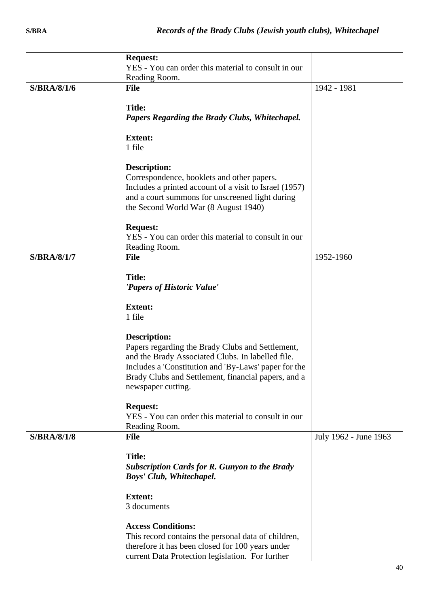|                    | <b>Request:</b>                                        |                       |
|--------------------|--------------------------------------------------------|-----------------------|
|                    | YES - You can order this material to consult in our    |                       |
|                    | Reading Room.                                          |                       |
| S/BRA/8/1/6        | <b>File</b>                                            | 1942 - 1981           |
|                    | <b>Title:</b>                                          |                       |
|                    | <b>Papers Regarding the Brady Clubs, Whitechapel.</b>  |                       |
|                    |                                                        |                       |
|                    | <b>Extent:</b>                                         |                       |
|                    | 1 file                                                 |                       |
|                    | <b>Description:</b>                                    |                       |
|                    | Correspondence, booklets and other papers.             |                       |
|                    | Includes a printed account of a visit to Israel (1957) |                       |
|                    | and a court summons for unscreened light during        |                       |
|                    | the Second World War (8 August 1940)                   |                       |
|                    | <b>Request:</b>                                        |                       |
|                    | YES - You can order this material to consult in our    |                       |
|                    | Reading Room.                                          |                       |
| <b>S/BRA/8/1/7</b> | <b>File</b>                                            | 1952-1960             |
|                    | <b>Title:</b>                                          |                       |
|                    | 'Papers of Historic Value'                             |                       |
|                    |                                                        |                       |
|                    | <b>Extent:</b>                                         |                       |
|                    | 1 file                                                 |                       |
|                    | <b>Description:</b>                                    |                       |
|                    | Papers regarding the Brady Clubs and Settlement,       |                       |
|                    | and the Brady Associated Clubs. In labelled file.      |                       |
|                    | Includes a 'Constitution and 'By-Laws' paper for the   |                       |
|                    | Brady Clubs and Settlement, financial papers, and a    |                       |
|                    | newspaper cutting.                                     |                       |
|                    | <b>Request:</b>                                        |                       |
|                    | YES - You can order this material to consult in our    |                       |
|                    | Reading Room.                                          |                       |
| <b>S/BRA/8/1/8</b> | <b>File</b>                                            | July 1962 - June 1963 |
|                    | <b>Title:</b>                                          |                       |
|                    | <b>Subscription Cards for R. Gunyon to the Brady</b>   |                       |
|                    | Boys' Club, Whitechapel.                               |                       |
|                    |                                                        |                       |
|                    | <b>Extent:</b>                                         |                       |
|                    | 3 documents                                            |                       |
|                    | <b>Access Conditions:</b>                              |                       |
|                    | This record contains the personal data of children,    |                       |
|                    | therefore it has been closed for 100 years under       |                       |
|                    | current Data Protection legislation. For further       |                       |